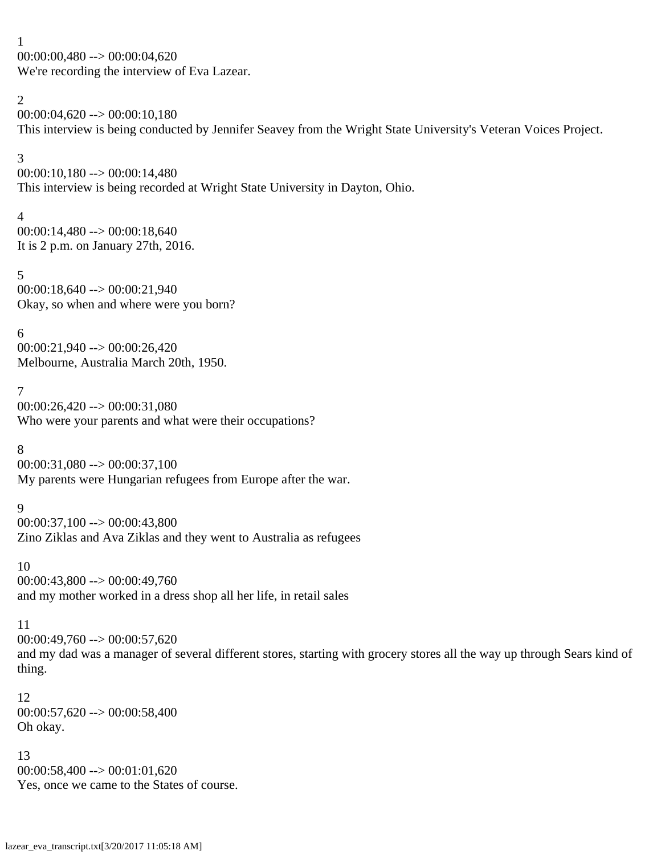1 00:00:00,480 --> 00:00:04,620 We're recording the interview of Eva Lazear.

### 2

 $00:00:04,620 \rightarrow 00:00:10,180$ This interview is being conducted by Jennifer Seavey from the Wright State University's Veteran Voices Project.

### 3

00:00:10,180 --> 00:00:14,480 This interview is being recorded at Wright State University in Dayton, Ohio.

### 4

00:00:14,480 --> 00:00:18,640 It is 2 p.m. on January 27th, 2016.

# 5

00:00:18,640 --> 00:00:21,940 Okay, so when and where were you born?

# 6

00:00:21,940 --> 00:00:26,420 Melbourne, Australia March 20th, 1950.

# 7

00:00:26,420 --> 00:00:31,080 Who were your parents and what were their occupations?

# 8

 $00:00:31,080 \rightarrow 00:00:37,100$ My parents were Hungarian refugees from Europe after the war.

# 9

00:00:37,100 --> 00:00:43,800 Zino Ziklas and Ava Ziklas and they went to Australia as refugees

# 10

00:00:43,800 --> 00:00:49,760 and my mother worked in a dress shop all her life, in retail sales

# 11

00:00:49,760 --> 00:00:57,620

and my dad was a manager of several different stores, starting with grocery stores all the way up through Sears kind of thing.

### 12 00:00:57,620 --> 00:00:58,400 Oh okay.

# 13

 $00:00:58,400 \rightarrow 00:01:01,620$ Yes, once we came to the States of course.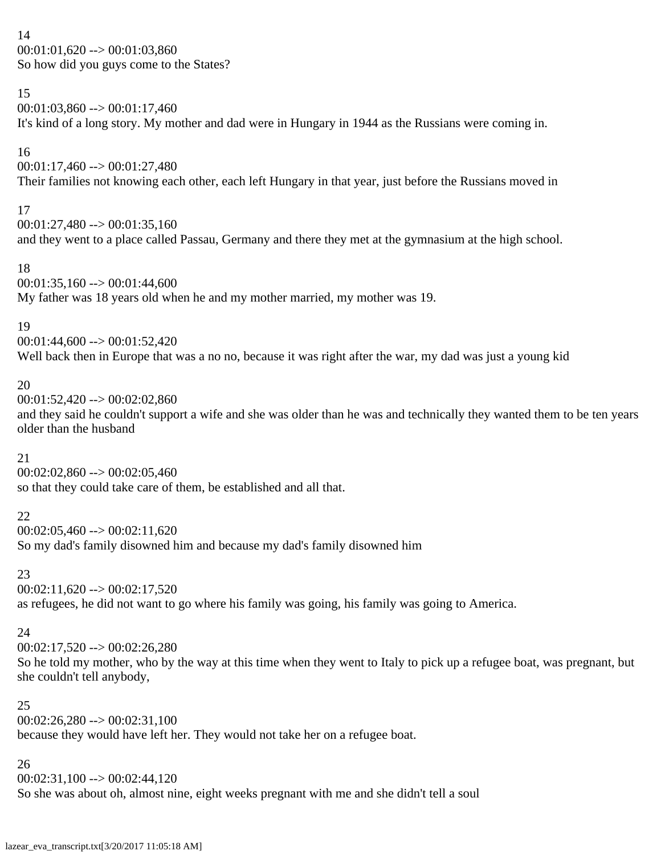14  $00:01:01,620 \rightarrow 00:01:03,860$ So how did you guys come to the States?

### 15

 $00:01:03,860 \rightarrow 00:01:17,460$ It's kind of a long story. My mother and dad were in Hungary in 1944 as the Russians were coming in.

# 16

 $00:01:17,460 \rightarrow 00:01:27,480$ Their families not knowing each other, each left Hungary in that year, just before the Russians moved in

# 17

 $00:01:27,480 \rightarrow 00:01:35,160$ and they went to a place called Passau, Germany and there they met at the gymnasium at the high school.

# 18

 $00:01:35,160 \rightarrow 00:01:44,600$ My father was 18 years old when he and my mother married, my mother was 19.

# 19

 $00:01:44,600 \rightarrow 00:01:52,420$ Well back then in Europe that was a no no, because it was right after the war, my dad was just a young kid

# 20

 $00:01:52,420 \rightarrow 00:02:02,860$ 

and they said he couldn't support a wife and she was older than he was and technically they wanted them to be ten years older than the husband

# 21

 $00:02:02,860 \rightarrow 00:02:05,460$ so that they could take care of them, be established and all that.

# 22

 $00:02:05,460 \rightarrow 00:02:11,620$ So my dad's family disowned him and because my dad's family disowned him

# 23

 $00:02:11,620 \rightarrow 00:02:17,520$ 

as refugees, he did not want to go where his family was going, his family was going to America.

# 24

 $00:02:17,520 \rightarrow 00:02:26,280$ 

So he told my mother, who by the way at this time when they went to Italy to pick up a refugee boat, was pregnant, but she couldn't tell anybody,

# 25

 $00:02:26.280 \rightarrow 00:02:31.100$ because they would have left her. They would not take her on a refugee boat.

# 26

 $00:02:31,100 \rightarrow 00:02:44,120$ So she was about oh, almost nine, eight weeks pregnant with me and she didn't tell a soul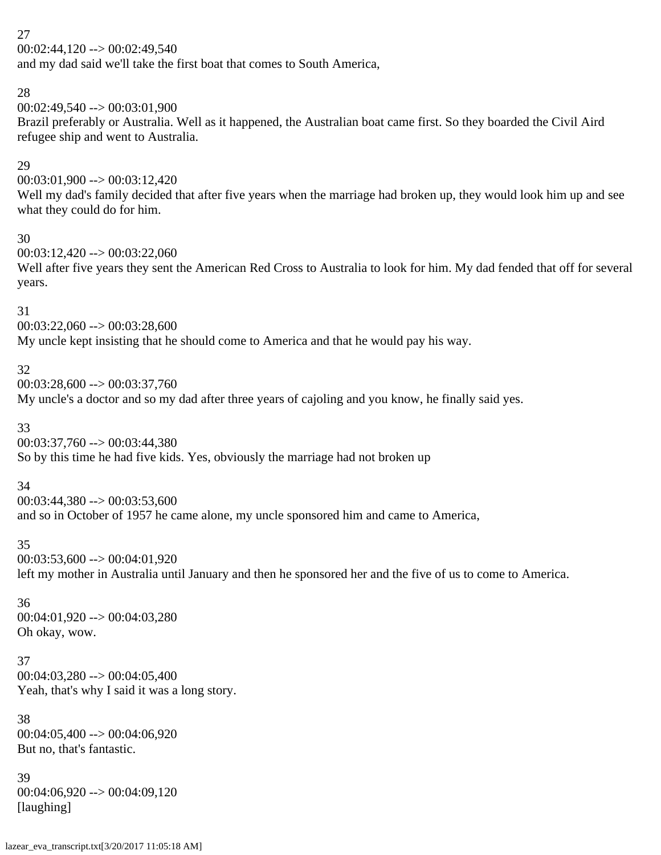00:02:44,120 --> 00:02:49,540

and my dad said we'll take the first boat that comes to South America,

### 28

00:02:49,540 --> 00:03:01,900

Brazil preferably or Australia. Well as it happened, the Australian boat came first. So they boarded the Civil Aird refugee ship and went to Australia.

### 29

00:03:01,900 --> 00:03:12,420

Well my dad's family decided that after five years when the marriage had broken up, they would look him up and see what they could do for him.

### 30

00:03:12,420 --> 00:03:22,060

Well after five years they sent the American Red Cross to Australia to look for him. My dad fended that off for several years.

### 31

00:03:22,060 --> 00:03:28,600

My uncle kept insisting that he should come to America and that he would pay his way.

# 32

 $00:03:28,600 \rightarrow 00:03:37,760$ My uncle's a doctor and so my dad after three years of cajoling and you know, he finally said yes.

# 33

00:03:37,760 --> 00:03:44,380

So by this time he had five kids. Yes, obviously the marriage had not broken up

# 34

 $00:03:44,380 \rightarrow 00:03:53,600$ and so in October of 1957 he came alone, my uncle sponsored him and came to America,

# 35

 $00:03:53,600 \rightarrow 00:04:01,920$ left my mother in Australia until January and then he sponsored her and the five of us to come to America.

### 36

00:04:01,920 --> 00:04:03,280 Oh okay, wow.

### 37 00:04:03,280 --> 00:04:05,400 Yeah, that's why I said it was a long story.

38  $00:04:05,400 \rightarrow 00:04:06,920$ But no, that's fantastic.

# 39 00:04:06,920 --> 00:04:09,120 [laughing]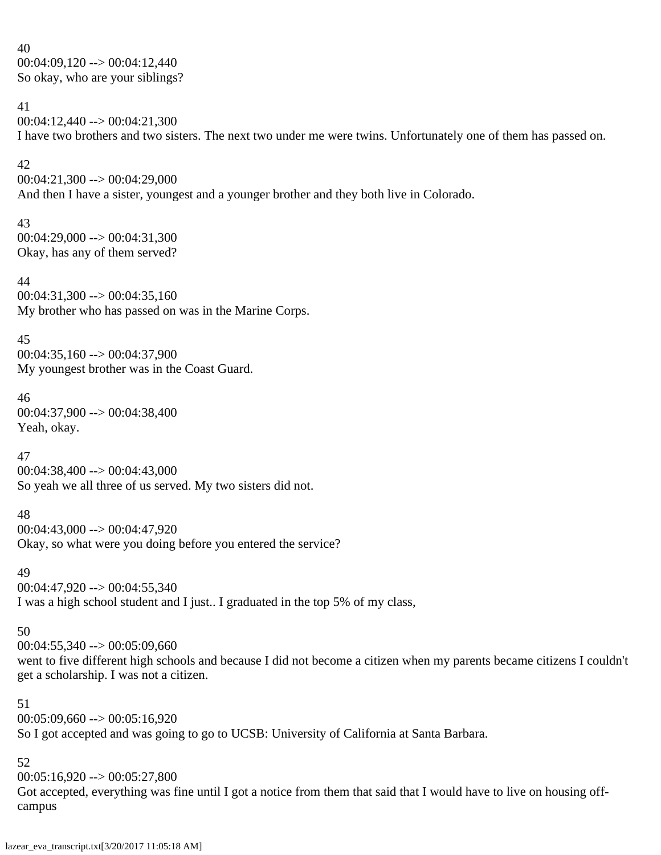40 00:04:09,120 --> 00:04:12,440 So okay, who are your siblings?

41 00:04:12,440 --> 00:04:21,300 I have two brothers and two sisters. The next two under me were twins. Unfortunately one of them has passed on.

#### 42

00:04:21,300 --> 00:04:29,000 And then I have a sister, youngest and a younger brother and they both live in Colorado.

### 43

00:04:29,000 --> 00:04:31,300 Okay, has any of them served?

### 44

 $00:04:31,300 \rightarrow 00:04:35,160$ My brother who has passed on was in the Marine Corps.

#### 45

00:04:35,160 --> 00:04:37,900 My youngest brother was in the Coast Guard.

# 46

00:04:37,900 --> 00:04:38,400 Yeah, okay.

### 47

00:04:38,400 --> 00:04:43,000 So yeah we all three of us served. My two sisters did not.

### 48

00:04:43,000 --> 00:04:47,920 Okay, so what were you doing before you entered the service?

#### 49

 $00:04:47,920 \rightarrow 00:04:55,340$ I was a high school student and I just.. I graduated in the top 5% of my class,

### 50

 $00:04:55,340 \rightarrow 00:05:09,660$ 

went to five different high schools and because I did not become a citizen when my parents became citizens I couldn't get a scholarship. I was not a citizen.

### 51

 $00:05:09,660 \rightarrow 00:05:16,920$ So I got accepted and was going to go to UCSB: University of California at Santa Barbara.

# 52

 $00:05:16,920 \rightarrow 00:05:27,800$ 

Got accepted, everything was fine until I got a notice from them that said that I would have to live on housing offcampus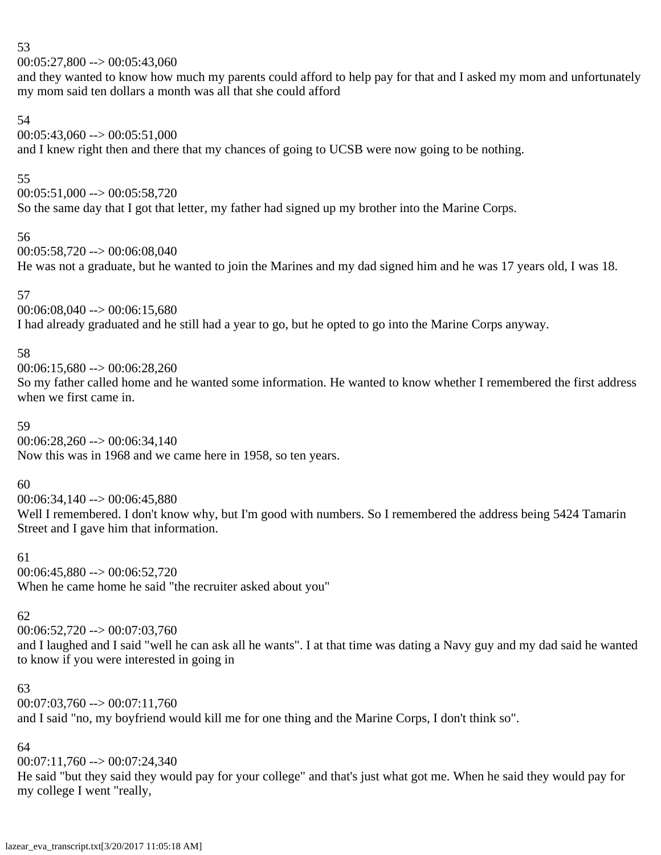$00:05:27,800 \rightarrow 00:05:43,060$ 

and they wanted to know how much my parents could afford to help pay for that and I asked my mom and unfortunately my mom said ten dollars a month was all that she could afford

# 54

 $00:05:43,060 \rightarrow 00:05:51,000$ and I knew right then and there that my chances of going to UCSB were now going to be nothing.

# 55

 $00:05:51,000 \rightarrow 00:05:58,720$ So the same day that I got that letter, my father had signed up my brother into the Marine Corps.

# 56

00:05:58,720 --> 00:06:08,040 He was not a graduate, but he wanted to join the Marines and my dad signed him and he was 17 years old, I was 18.

# 57

 $00:06:08.040 \rightarrow 00:06:15.680$ I had already graduated and he still had a year to go, but he opted to go into the Marine Corps anyway.

# 58

00:06:15,680 --> 00:06:28,260

So my father called home and he wanted some information. He wanted to know whether I remembered the first address when we first came in.

# 59

 $00:06:28,260 \rightarrow 00:06:34,140$ Now this was in 1968 and we came here in 1958, so ten years.

# 60

 $00:06:34,140 \rightarrow 00:06:45,880$ Well I remembered. I don't know why, but I'm good with numbers. So I remembered the address being 5424 Tamarin Street and I gave him that information.

# 61

00:06:45,880 --> 00:06:52,720 When he came home he said "the recruiter asked about you"

# 62

00:06:52,720 --> 00:07:03,760

and I laughed and I said "well he can ask all he wants". I at that time was dating a Navy guy and my dad said he wanted to know if you were interested in going in

# 63

 $00:07:03,760 \rightarrow 00:07:11,760$ 

and I said "no, my boyfriend would kill me for one thing and the Marine Corps, I don't think so".

# 64

 $00:07:11,760 \rightarrow 00:07:24.340$ 

He said "but they said they would pay for your college" and that's just what got me. When he said they would pay for my college I went "really,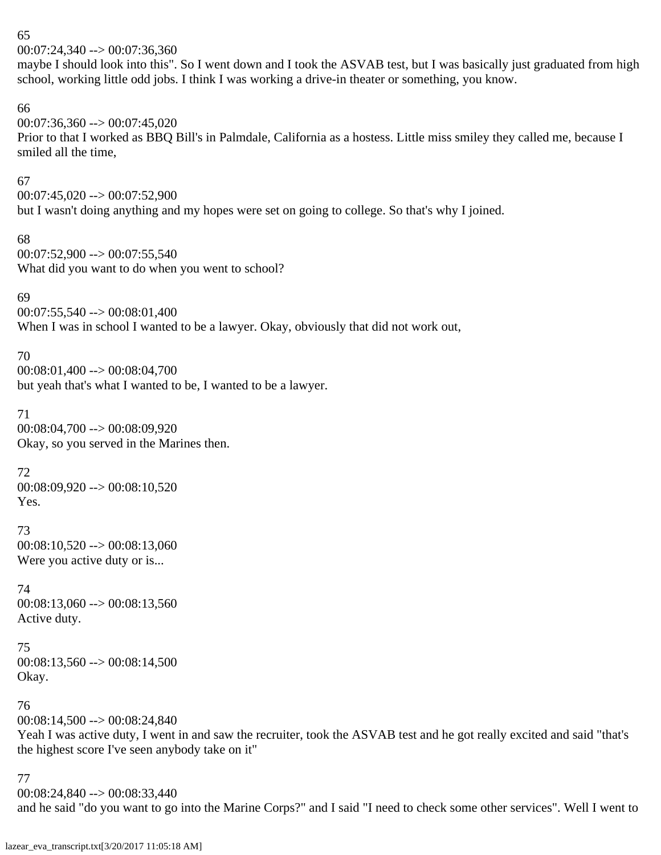00:07:24,340 --> 00:07:36,360

maybe I should look into this". So I went down and I took the ASVAB test, but I was basically just graduated from high school, working little odd jobs. I think I was working a drive-in theater or something, you know.

### 66

 $00:07:36,360 \rightarrow 00:07:45,020$ 

Prior to that I worked as BBQ Bill's in Palmdale, California as a hostess. Little miss smiley they called me, because I smiled all the time,

# 67

00:07:45,020 --> 00:07:52,900 but I wasn't doing anything and my hopes were set on going to college. So that's why I joined.

68 00:07:52,900 --> 00:07:55,540 What did you want to do when you went to school?

# 69

 $00:07:55,540 \rightarrow 00:08:01,400$ When I was in school I wanted to be a lawyer. Okay, obviously that did not work out,

# 70

00:08:01,400 --> 00:08:04,700 but yeah that's what I wanted to be, I wanted to be a lawyer.

# 71

00:08:04,700 --> 00:08:09,920 Okay, so you served in the Marines then.

# 72

 $00:08:09,920 \rightarrow 00:08:10,520$ Yes.

# 73

 $00:08:10,520 \rightarrow 00:08:13,060$ Were you active duty or is...

# 74  $00:08:13,060 \rightarrow 00:08:13,560$

Active duty.

### 75 00:08:13,560 --> 00:08:14,500 Okay.

# 76

 $00:08:14,500 \rightarrow 00:08:24,840$ 

Yeah I was active duty, I went in and saw the recruiter, took the ASVAB test and he got really excited and said "that's the highest score I've seen anybody take on it"

### 77

00:08:24,840 --> 00:08:33,440

and he said "do you want to go into the Marine Corps?" and I said "I need to check some other services". Well I went to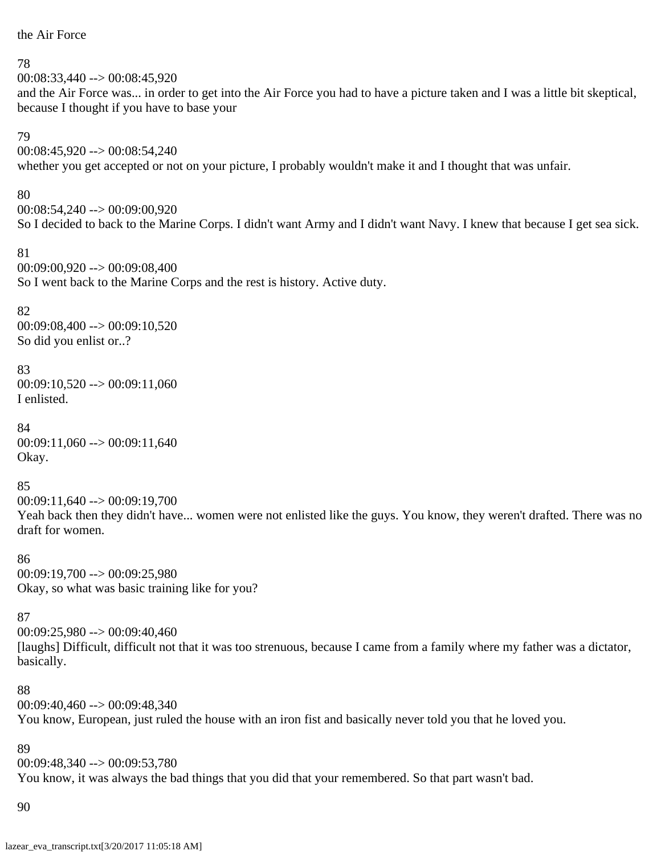### the Air Force

#### 78

00:08:33,440 --> 00:08:45,920 and the Air Force was... in order to get into the Air Force you had to have a picture taken and I was a little bit skeptical, because I thought if you have to base your

#### 79

00:08:45,920 --> 00:08:54,240

whether you get accepted or not on your picture, I probably wouldn't make it and I thought that was unfair.

#### 80

00:08:54,240 --> 00:09:00,920 So I decided to back to the Marine Corps. I didn't want Army and I didn't want Navy. I knew that because I get sea sick.

#### 81

00:09:00,920 --> 00:09:08,400 So I went back to the Marine Corps and the rest is history. Active duty.

### 82

00:09:08,400 --> 00:09:10,520 So did you enlist or..?

### 83

 $00:09:10,520 \rightarrow 00:09:11,060$ I enlisted.

# 84

 $00:09:11,060 \rightarrow 00:09:11,640$ Okay.

#### 85

00:09:11,640 --> 00:09:19,700 Yeah back then they didn't have... women were not enlisted like the guys. You know, they weren't drafted. There was no draft for women.

### 86 00:09:19,700 --> 00:09:25,980 Okay, so what was basic training like for you?

### 87

00:09:25,980 --> 00:09:40,460 [laughs] Difficult, difficult not that it was too strenuous, because I came from a family where my father was a dictator, basically.

### 88

00:09:40,460 --> 00:09:48,340

You know, European, just ruled the house with an iron fist and basically never told you that he loved you.

### 89

 $00:09:48.340 \rightarrow 00:09:53.780$ You know, it was always the bad things that you did that your remembered. So that part wasn't bad.

#### 90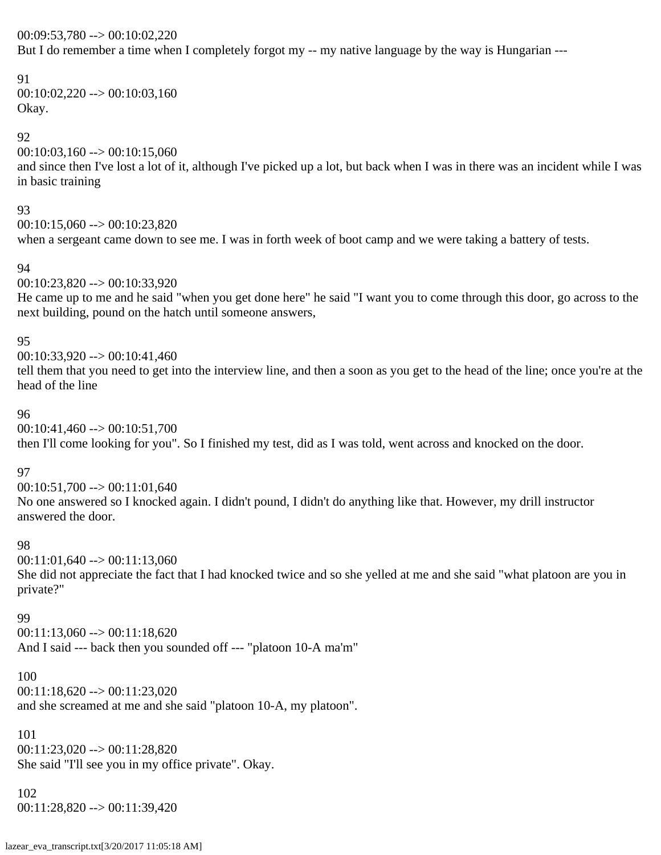00:09:53,780 --> 00:10:02,220

But I do remember a time when I completely forgot my -- my native language by the way is Hungarian ---

# 91

 $00:10:02,220 \rightarrow 00:10:03,160$ Okay.

# 92

 $00:10:03,160 \rightarrow 00:10:15,060$ and since then I've lost a lot of it, although I've picked up a lot, but back when I was in there was an incident while I was in basic training

### 93

 $00:10:15,060 \rightarrow 00:10:23,820$ when a sergeant came down to see me. I was in forth week of boot camp and we were taking a battery of tests.

### 94

00:10:23,820 --> 00:10:33,920

He came up to me and he said "when you get done here" he said "I want you to come through this door, go across to the next building, pound on the hatch until someone answers,

### 95

00:10:33,920 --> 00:10:41,460

tell them that you need to get into the interview line, and then a soon as you get to the head of the line; once you're at the head of the line

### 96

00:10:41,460 --> 00:10:51,700 then I'll come looking for you". So I finished my test, did as I was told, went across and knocked on the door.

# 97

00:10:51,700 --> 00:11:01,640 No one answered so I knocked again. I didn't pound, I didn't do anything like that. However, my drill instructor answered the door.

### 98

 $00:11:01,640 \rightarrow 00:11:13,060$ She did not appreciate the fact that I had knocked twice and so she yelled at me and she said "what platoon are you in private?"

### 99

 $00:11:13,060 \rightarrow 00:11:18,620$ And I said --- back then you sounded off --- "platoon 10-A ma'm"

### 100

 $00:11:18,620 \rightarrow 00:11:23,020$ 

and she screamed at me and she said "platoon 10-A, my platoon".

### 101

 $00:11:23,020 \rightarrow 00:11:28,820$ She said "I'll see you in my office private". Okay.

### 102

00:11:28,820 --> 00:11:39,420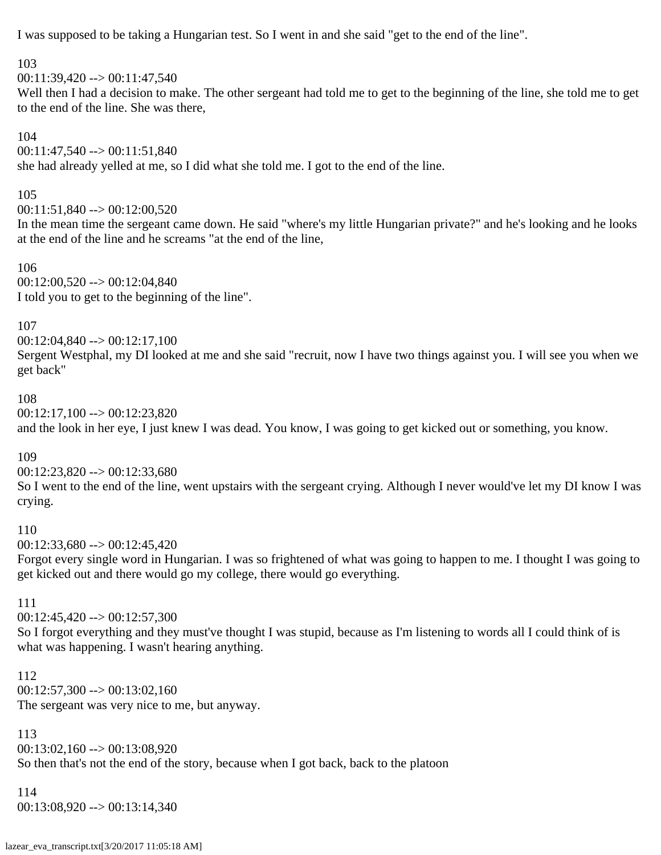I was supposed to be taking a Hungarian test. So I went in and she said "get to the end of the line".

103

 $00:11:39,420 \rightarrow 00:11:47,540$ 

Well then I had a decision to make. The other sergeant had told me to get to the beginning of the line, she told me to get to the end of the line. She was there,

104

# 00:11:47,540 --> 00:11:51,840

she had already yelled at me, so I did what she told me. I got to the end of the line.

### 105

00:11:51,840 --> 00:12:00,520

In the mean time the sergeant came down. He said "where's my little Hungarian private?" and he's looking and he looks at the end of the line and he screams "at the end of the line,

106

 $00:12:00,520 \rightarrow 00:12:04,840$ I told you to get to the beginning of the line".

107

00:12:04,840 --> 00:12:17,100 Sergent Westphal, my DI looked at me and she said "recruit, now I have two things against you. I will see you when we get back"

# 108

00:12:17,100 --> 00:12:23,820

and the look in her eye, I just knew I was dead. You know, I was going to get kicked out or something, you know.

109

 $00:12:23,820 \rightarrow 00:12:33,680$ 

So I went to the end of the line, went upstairs with the sergeant crying. Although I never would've let my DI know I was crying.

# 110

 $00:12:33,680 \rightarrow 00:12:45,420$ 

Forgot every single word in Hungarian. I was so frightened of what was going to happen to me. I thought I was going to get kicked out and there would go my college, there would go everything.

111

00:12:45,420 --> 00:12:57,300

So I forgot everything and they must've thought I was stupid, because as I'm listening to words all I could think of is what was happening. I wasn't hearing anything.

112  $00:12:57,300 \rightarrow 00:13:02,160$ The sergeant was very nice to me, but anyway.

113

00:13:02,160 --> 00:13:08,920

So then that's not the end of the story, because when I got back, back to the platoon

114

00:13:08,920 --> 00:13:14,340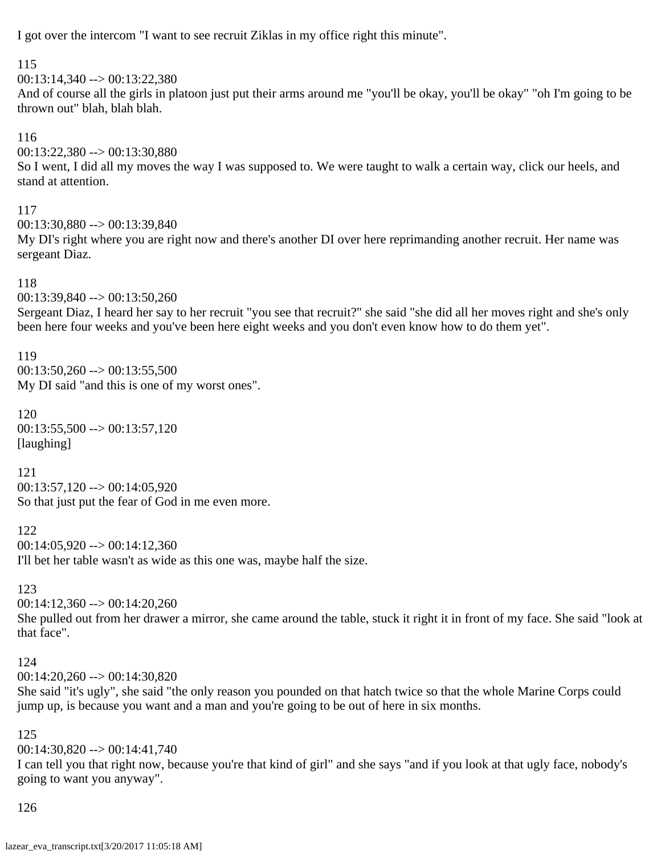I got over the intercom "I want to see recruit Ziklas in my office right this minute".

115

00:13:14,340 --> 00:13:22,380

And of course all the girls in platoon just put their arms around me "you'll be okay, you'll be okay" "oh I'm going to be thrown out" blah, blah blah.

116

00:13:22,380 --> 00:13:30,880

So I went, I did all my moves the way I was supposed to. We were taught to walk a certain way, click our heels, and stand at attention.

117

00:13:30,880 --> 00:13:39,840

My DI's right where you are right now and there's another DI over here reprimanding another recruit. Her name was sergeant Diaz.

# 118

00:13:39,840 --> 00:13:50,260

Sergeant Diaz, I heard her say to her recruit "you see that recruit?" she said "she did all her moves right and she's only been here four weeks and you've been here eight weeks and you don't even know how to do them yet".

119  $00:13:50.260 \rightarrow 00:13:55.500$ My DI said "and this is one of my worst ones".

120  $00:13:55,500 \rightarrow 00:13:57,120$ [laughing]

121 00:13:57,120 --> 00:14:05,920 So that just put the fear of God in me even more.

122  $00:14:05,920 \rightarrow 00:14:12,360$ I'll bet her table wasn't as wide as this one was, maybe half the size.

123

 $00:14:12,360 \rightarrow 00:14:20,260$ 

She pulled out from her drawer a mirror, she came around the table, stuck it right it in front of my face. She said "look at that face".

# 124

00:14:20,260 --> 00:14:30,820

She said "it's ugly", she said "the only reason you pounded on that hatch twice so that the whole Marine Corps could jump up, is because you want and a man and you're going to be out of here in six months.

# 125

00:14:30,820 --> 00:14:41,740

I can tell you that right now, because you're that kind of girl" and she says "and if you look at that ugly face, nobody's going to want you anyway".

126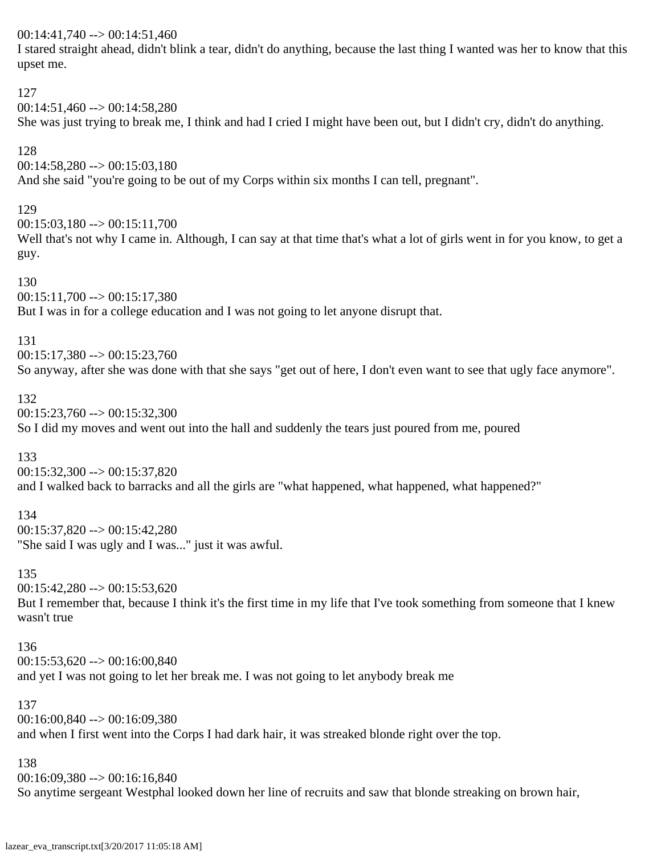00:14:41,740 --> 00:14:51,460

I stared straight ahead, didn't blink a tear, didn't do anything, because the last thing I wanted was her to know that this upset me.

127 00:14:51,460 --> 00:14:58,280 She was just trying to break me, I think and had I cried I might have been out, but I didn't cry, didn't do anything. 128  $00:14:58,280 \rightarrow 00:15:03,180$ And she said "you're going to be out of my Corps within six months I can tell, pregnant". 129  $00:15:03,180 \rightarrow 00:15:11,700$ Well that's not why I came in. Although, I can say at that time that's what a lot of girls went in for you know, to get a guy. 130  $00:15:11,700 \rightarrow 00:15:17,380$ But I was in for a college education and I was not going to let anyone disrupt that. 131  $00:15:17,380 \rightarrow 00:15:23,760$ So anyway, after she was done with that she says "get out of here, I don't even want to see that ugly face anymore". 132  $00:15:23,760 \rightarrow 00:15:32,300$ So I did my moves and went out into the hall and suddenly the tears just poured from me, poured 133 00:15:32,300 --> 00:15:37,820 and I walked back to barracks and all the girls are "what happened, what happened, what happened?" 134 00:15:37,820 --> 00:15:42,280 "She said I was ugly and I was..." just it was awful. 135  $00:15:42,280 \rightarrow 00:15:53,620$ But I remember that, because I think it's the first time in my life that I've took something from someone that I knew wasn't true 136  $00:15:53,620 \rightarrow 00:16:00,840$ and yet I was not going to let her break me. I was not going to let anybody break me 137 00:16:00,840 --> 00:16:09,380 and when I first went into the Corps I had dark hair, it was streaked blonde right over the top. 138 00:16:09,380 --> 00:16:16,840

So anytime sergeant Westphal looked down her line of recruits and saw that blonde streaking on brown hair,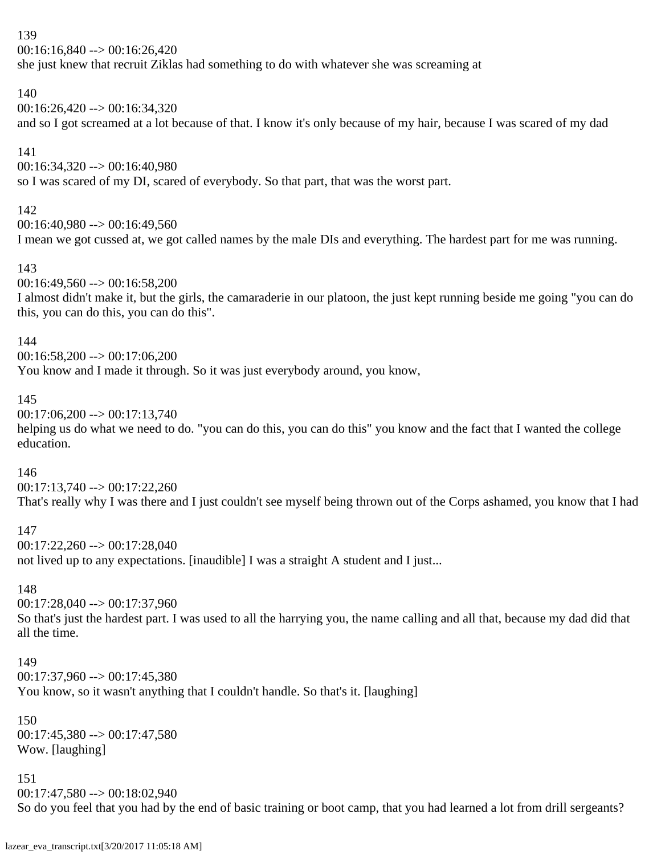00:16:16,840 --> 00:16:26,420 she just knew that recruit Ziklas had something to do with whatever she was screaming at

# 140

00:16:26,420 --> 00:16:34,320

and so I got screamed at a lot because of that. I know it's only because of my hair, because I was scared of my dad

# 141

00:16:34,320 --> 00:16:40,980

so I was scared of my DI, scared of everybody. So that part, that was the worst part.

# 142

00:16:40,980 --> 00:16:49,560 I mean we got cussed at, we got called names by the male DIs and everything. The hardest part for me was running.

# 143

00:16:49,560 --> 00:16:58,200

I almost didn't make it, but the girls, the camaraderie in our platoon, the just kept running beside me going "you can do this, you can do this, you can do this".

# 144

 $00:16:58,200 \rightarrow 00:17:06,200$ 

You know and I made it through. So it was just everybody around, you know,

# 145

00:17:06,200 --> 00:17:13,740 helping us do what we need to do. "you can do this, you can do this" you know and the fact that I wanted the college

# education.

146

00:17:13,740 --> 00:17:22,260

That's really why I was there and I just couldn't see myself being thrown out of the Corps ashamed, you know that I had

# 147

00:17:22,260 --> 00:17:28,040

not lived up to any expectations. [inaudible] I was a straight A student and I just...

# 148

00:17:28,040 --> 00:17:37,960

So that's just the hardest part. I was used to all the harrying you, the name calling and all that, because my dad did that all the time.

# 149

00:17:37,960 --> 00:17:45,380

You know, so it wasn't anything that I couldn't handle. So that's it. [laughing]

### 150  $00:17:45,380 \rightarrow 00:17:47,580$ Wow. [laughing]

# 151

 $00:17:47,580 \rightarrow 00:18:02,940$ So do you feel that you had by the end of basic training or boot camp, that you had learned a lot from drill sergeants?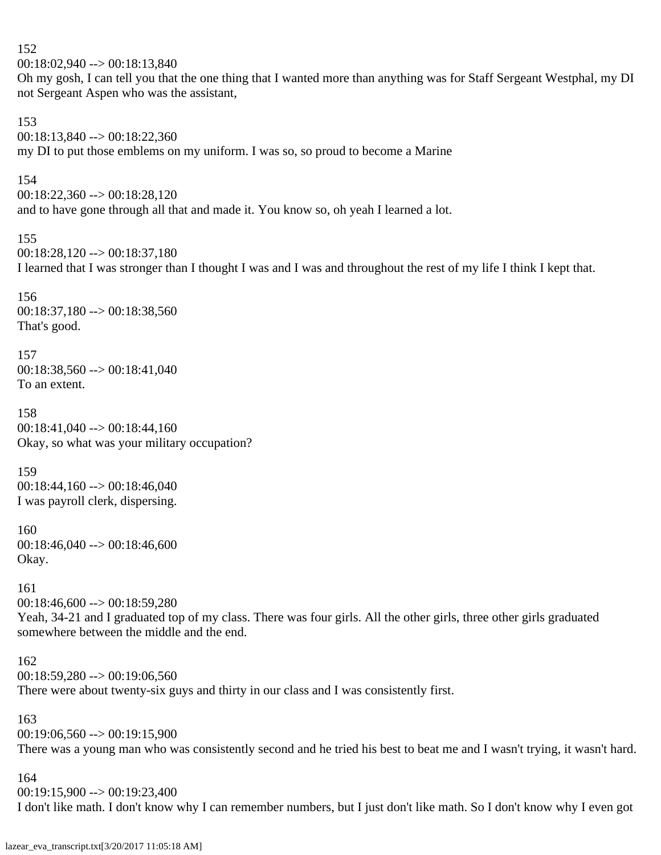152  $00:18:02,940 \rightarrow 00:18:13,840$ Oh my gosh, I can tell you that the one thing that I wanted more than anything was for Staff Sergeant Westphal, my DI not Sergeant Aspen who was the assistant, 153 00:18:13,840 --> 00:18:22,360 my DI to put those emblems on my uniform. I was so, so proud to become a Marine 154 00:18:22,360 --> 00:18:28,120 and to have gone through all that and made it. You know so, oh yeah I learned a lot. 155 00:18:28,120 --> 00:18:37,180 I learned that I was stronger than I thought I was and I was and throughout the rest of my life I think I kept that. 156 00:18:37,180 --> 00:18:38,560 That's good. 157  $00:18:38,560 \rightarrow 00:18:41,040$ To an extent. 158 00:18:41,040 --> 00:18:44,160 Okay, so what was your military occupation? 159 00:18:44,160 --> 00:18:46,040 I was payroll clerk, dispersing. 160 00:18:46,040 --> 00:18:46,600 Okay. 161  $00:18:46,600 \rightarrow 00:18:59,280$ Yeah, 34-21 and I graduated top of my class. There was four girls. All the other girls, three other girls graduated somewhere between the middle and the end. 162 00:18:59,280 --> 00:19:06,560 There were about twenty-six guys and thirty in our class and I was consistently first. 163  $00:19:06,560 \rightarrow 00:19:15,900$ There was a young man who was consistently second and he tried his best to beat me and I wasn't trying, it wasn't hard. 164  $00:19:15,900 \rightarrow 00:19:23,400$ 

I don't like math. I don't know why I can remember numbers, but I just don't like math. So I don't know why I even got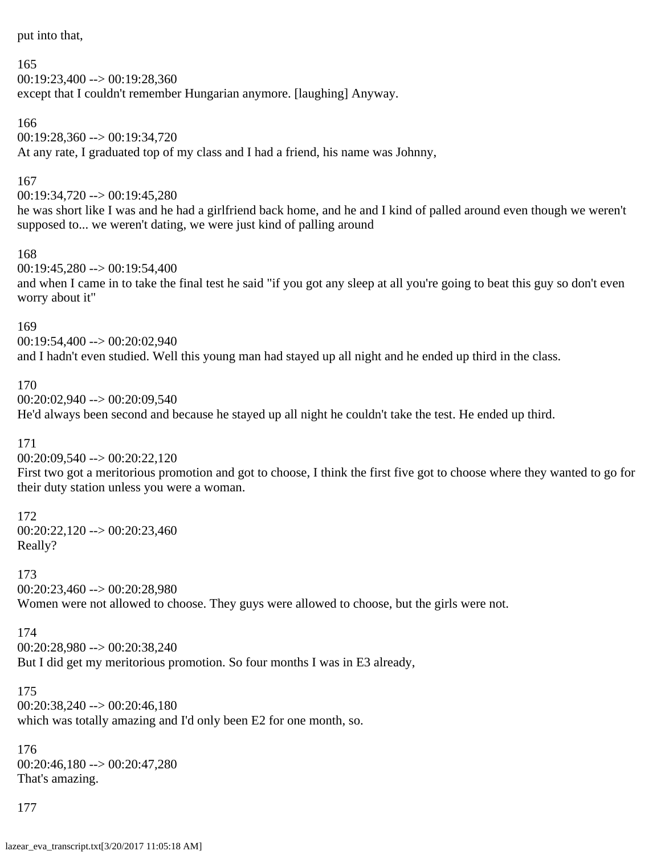put into that,

165

00:19:23,400 --> 00:19:28,360

except that I couldn't remember Hungarian anymore. [laughing] Anyway.

166

00:19:28,360 --> 00:19:34,720 At any rate, I graduated top of my class and I had a friend, his name was Johnny,

### 167

00:19:34,720 --> 00:19:45,280

he was short like I was and he had a girlfriend back home, and he and I kind of palled around even though we weren't supposed to... we weren't dating, we were just kind of palling around

### 168

00:19:45,280 --> 00:19:54,400 and when I came in to take the final test he said "if you got any sleep at all you're going to beat this guy so don't even worry about it"

### 169

00:19:54,400 --> 00:20:02,940 and I hadn't even studied. Well this young man had stayed up all night and he ended up third in the class.

### 170

00:20:02,940 --> 00:20:09,540

He'd always been second and because he stayed up all night he couldn't take the test. He ended up third.

### 171

00:20:09,540 --> 00:20:22,120

First two got a meritorious promotion and got to choose, I think the first five got to choose where they wanted to go for their duty station unless you were a woman.

# 172  $00:20:22,120 \rightarrow 00:20:23,460$

Really?

# 173

00:20:23,460 --> 00:20:28,980

Women were not allowed to choose. They guys were allowed to choose, but the girls were not.

### 174

00:20:28,980 --> 00:20:38,240 But I did get my meritorious promotion. So four months I was in E3 already,

# 175 00:20:38,240 --> 00:20:46,180 which was totally amazing and I'd only been E2 for one month, so.

176 00:20:46,180 --> 00:20:47,280 That's amazing.

177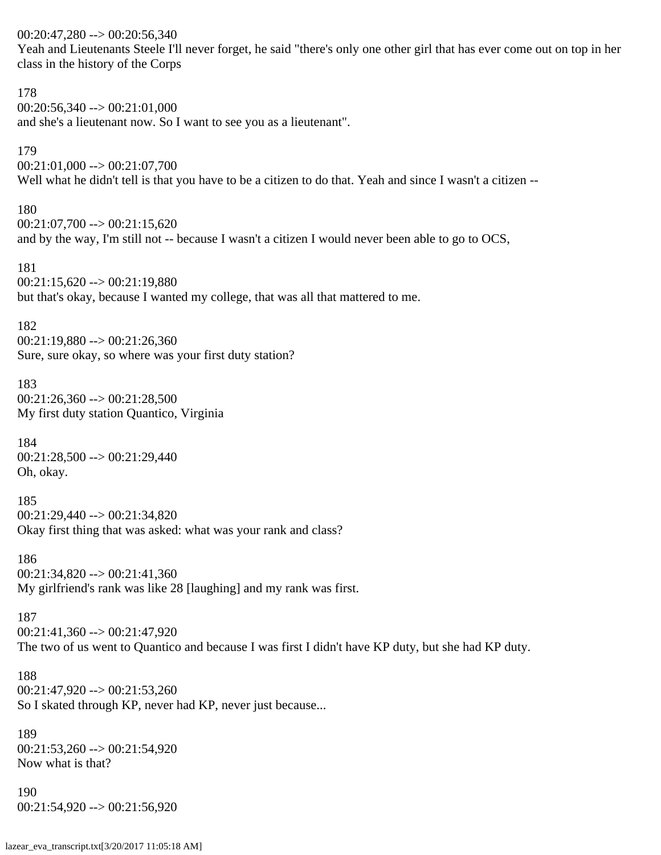$00:20:47,280 \rightarrow 00:20:56,340$ 

Yeah and Lieutenants Steele I'll never forget, he said "there's only one other girl that has ever come out on top in her class in the history of the Corps

178  $00:20:56,340 \rightarrow 00:21:01,000$ and she's a lieutenant now. So I want to see you as a lieutenant". 179 00:21:01,000 --> 00:21:07,700 Well what he didn't tell is that you have to be a citizen to do that. Yeah and since I wasn't a citizen -- 180  $00:21:07,700 \rightarrow 00:21:15,620$ and by the way, I'm still not -- because I wasn't a citizen I would never been able to go to OCS, 181  $00:21:15,620 \rightarrow 00:21:19,880$ but that's okay, because I wanted my college, that was all that mattered to me. 182 00:21:19,880 --> 00:21:26,360 Sure, sure okay, so where was your first duty station? 183  $00:21:26,360 \rightarrow 00:21:28,500$ My first duty station Quantico, Virginia 184 00:21:28,500 --> 00:21:29,440 Oh, okay. 185 00:21:29,440 --> 00:21:34,820 Okay first thing that was asked: what was your rank and class? 186 00:21:34,820 --> 00:21:41,360 My girlfriend's rank was like 28 [laughing] and my rank was first. 187  $00:21:41,360 \rightarrow 00:21:47,920$ The two of us went to Quantico and because I was first I didn't have KP duty, but she had KP duty. 188  $00:21:47,920 \rightarrow 00:21:53,260$ So I skated through KP, never had KP, never just because... 189 00:21:53,260 --> 00:21:54,920 Now what is that? 190 00:21:54,920 --> 00:21:56,920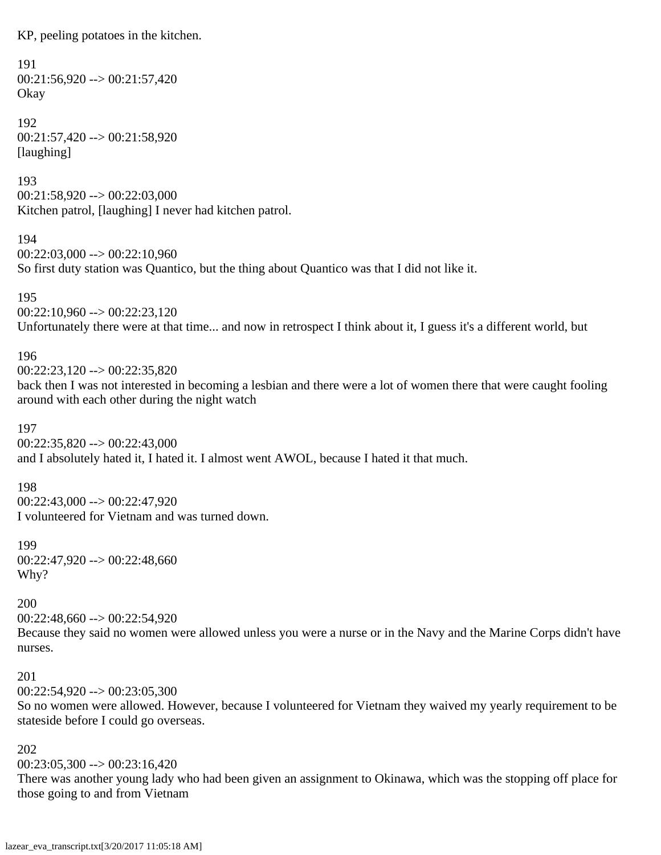KP, peeling potatoes in the kitchen.

```
191
00:21:56,920 \rightarrow 00:21:57,420Okay
```
192 00:21:57,420 --> 00:21:58,920 [laughing]

193

 $00:21:58,920 \rightarrow 00:22:03,000$ Kitchen patrol, [laughing] I never had kitchen patrol.

194

00:22:03,000 --> 00:22:10,960 So first duty station was Quantico, but the thing about Quantico was that I did not like it.

195  $00:22:10,960 \rightarrow 00:22:23,120$ 

Unfortunately there were at that time... and now in retrospect I think about it, I guess it's a different world, but

196

 $00:22:23,120 \rightarrow 00:22:35,820$ 

back then I was not interested in becoming a lesbian and there were a lot of women there that were caught fooling around with each other during the night watch

197

 $00:22:35,820 \rightarrow 00:22:43,000$ and I absolutely hated it, I hated it. I almost went AWOL, because I hated it that much.

198

 $00:22:43,000 \rightarrow 00:22:47,920$ I volunteered for Vietnam and was turned down.

199

00:22:47,920 --> 00:22:48,660 Why?

200

00:22:48,660 --> 00:22:54,920

Because they said no women were allowed unless you were a nurse or in the Navy and the Marine Corps didn't have nurses.

# 201

 $00:22:54,920 \rightarrow 00:23:05,300$ 

So no women were allowed. However, because I volunteered for Vietnam they waived my yearly requirement to be stateside before I could go overseas.

# 202

 $00:23:05,300 \rightarrow 00:23:16,420$ 

There was another young lady who had been given an assignment to Okinawa, which was the stopping off place for those going to and from Vietnam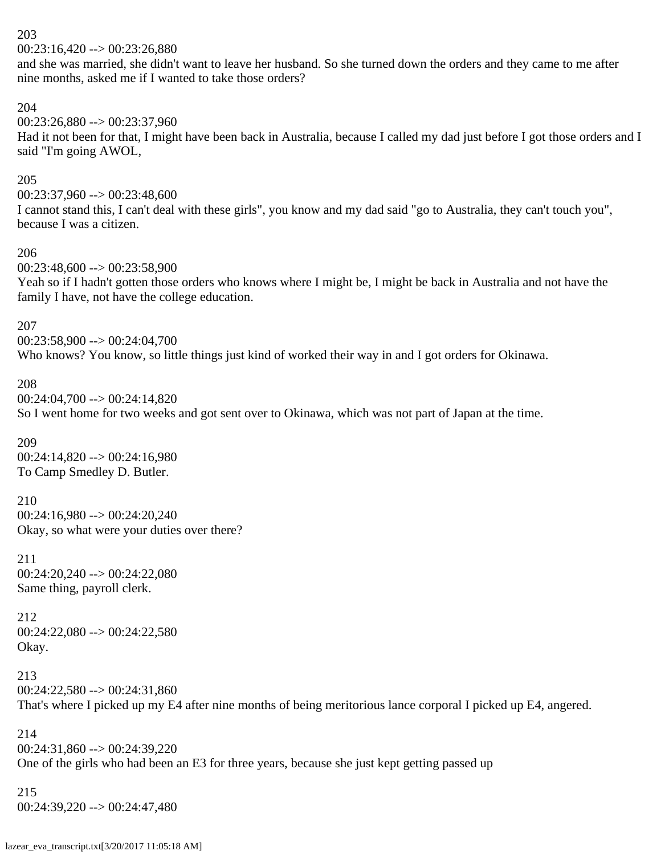$00:23:16,420 \rightarrow 00:23:26,880$ 

and she was married, she didn't want to leave her husband. So she turned down the orders and they came to me after nine months, asked me if I wanted to take those orders?

### 204

 $00:23:26,880 \rightarrow 00:23:37,960$ 

Had it not been for that, I might have been back in Australia, because I called my dad just before I got those orders and I said "I'm going AWOL,

### 205

 $00:23:37,960 \rightarrow 00:23:48,600$ 

I cannot stand this, I can't deal with these girls", you know and my dad said "go to Australia, they can't touch you", because I was a citizen.

### 206

00:23:48,600 --> 00:23:58,900

Yeah so if I hadn't gotten those orders who knows where I might be, I might be back in Australia and not have the family I have, not have the college education.

### 207

00:23:58,900 --> 00:24:04,700 Who knows? You know, so little things just kind of worked their way in and I got orders for Okinawa.

### 208

00:24:04,700 --> 00:24:14,820 So I went home for two weeks and got sent over to Okinawa, which was not part of Japan at the time.

209 00:24:14,820 --> 00:24:16,980 To Camp Smedley D. Butler.

210 00:24:16,980 --> 00:24:20,240 Okay, so what were your duties over there?

211 00:24:20,240 --> 00:24:22,080 Same thing, payroll clerk.

212 00:24:22,080 --> 00:24:22,580 Okay.

213 00:24:22,580 --> 00:24:31,860 That's where I picked up my E4 after nine months of being meritorious lance corporal I picked up E4, angered.

214 00:24:31,860 --> 00:24:39,220 One of the girls who had been an E3 for three years, because she just kept getting passed up

215 00:24:39,220 --> 00:24:47,480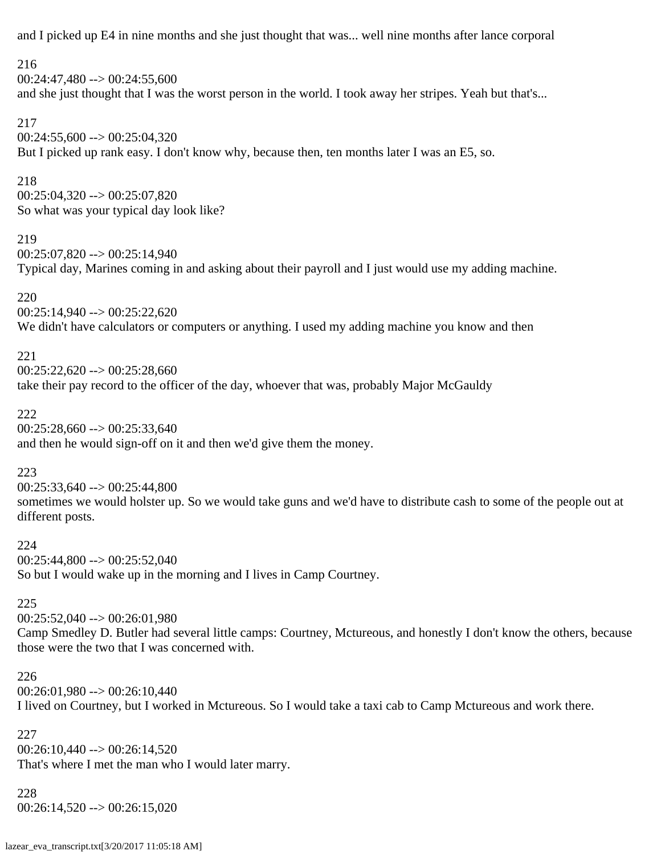and I picked up E4 in nine months and she just thought that was... well nine months after lance corporal

# 216  $00:24:47.480 \rightarrow 00:24:55.600$ and she just thought that I was the worst person in the world. I took away her stripes. Yeah but that's...

217  $00:24:55,600 \rightarrow 00:25:04,320$ But I picked up rank easy. I don't know why, because then, ten months later I was an E5, so.

### 218

00:25:04,320 --> 00:25:07,820 So what was your typical day look like?

### 219

00:25:07,820 --> 00:25:14,940 Typical day, Marines coming in and asking about their payroll and I just would use my adding machine.

# 220

 $00:25:14,940 \rightarrow 00:25:22,620$ We didn't have calculators or computers or anything. I used my adding machine you know and then

# 221

 $00:25:22,620 \rightarrow 00:25:28,660$ 

take their pay record to the officer of the day, whoever that was, probably Major McGauldy

# 222

 $00:25:28,660 \rightarrow 00:25:33,640$ and then he would sign-off on it and then we'd give them the money.

# 223

 $00:25:33,640 \rightarrow 00:25:44,800$ sometimes we would holster up. So we would take guns and we'd have to distribute cash to some of the people out at different posts.

# 224

 $00:25:44,800 \rightarrow 00:25:52,040$ So but I would wake up in the morning and I lives in Camp Courtney.

# 225

00:25:52,040 --> 00:26:01,980

Camp Smedley D. Butler had several little camps: Courtney, Mctureous, and honestly I don't know the others, because those were the two that I was concerned with.

# 226

 $00:26:01,980 \rightarrow 00:26:10,440$ I lived on Courtney, but I worked in Mctureous. So I would take a taxi cab to Camp Mctureous and work there.

# 227

 $00:26:10,440 \rightarrow 00:26:14,520$ That's where I met the man who I would later marry.

# 228  $00:26:14,520 \rightarrow 00:26:15,020$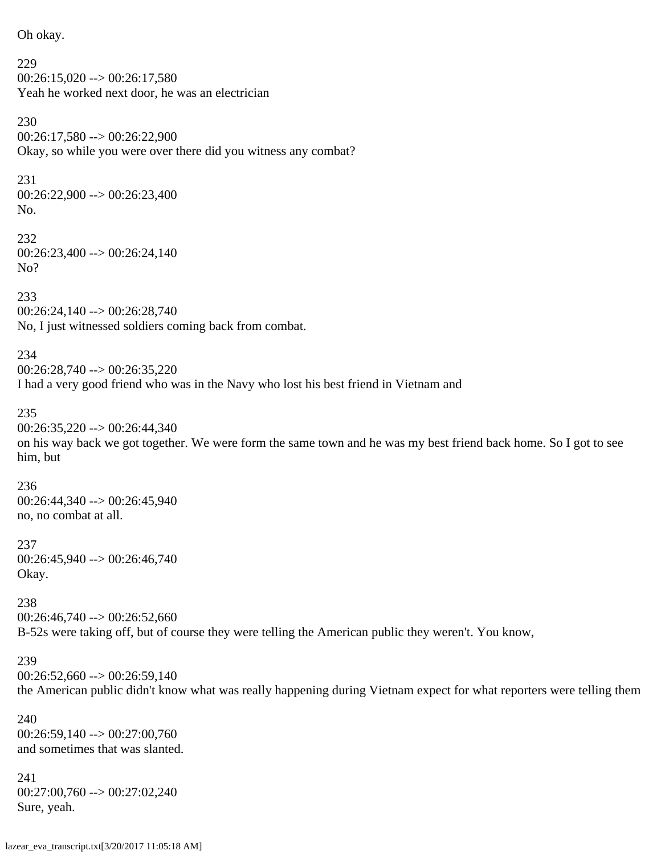Oh okay. 229  $00:26:15,020 \rightarrow 00:26:17,580$ Yeah he worked next door, he was an electrician 230 00:26:17,580 --> 00:26:22,900 Okay, so while you were over there did you witness any combat?

231 00:26:22,900 --> 00:26:23,400 No.

232 00:26:23,400 --> 00:26:24,140 No?

233 00:26:24,140 --> 00:26:28,740 No, I just witnessed soldiers coming back from combat.

234  $00:26:28.740 \rightarrow 00:26:35.220$ I had a very good friend who was in the Navy who lost his best friend in Vietnam and

235  $00:26:35,220 \rightarrow 00:26:44,340$ on his way back we got together. We were form the same town and he was my best friend back home. So I got to see him, but

236 00:26:44,340 --> 00:26:45,940 no, no combat at all.

237 00:26:45,940 --> 00:26:46,740 Okay.

238  $00:26:46,740 \rightarrow 00:26:52,660$ B-52s were taking off, but of course they were telling the American public they weren't. You know,

239  $00:26:52,660 \rightarrow 00:26:59,140$ the American public didn't know what was really happening during Vietnam expect for what reporters were telling them

240 00:26:59,140 --> 00:27:00,760 and sometimes that was slanted.

241 00:27:00,760 --> 00:27:02,240 Sure, yeah.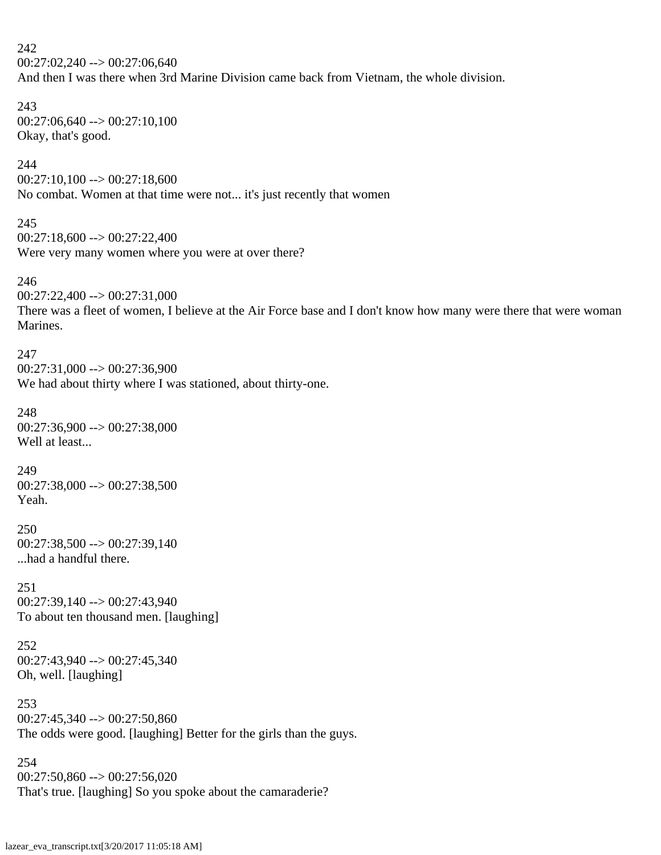# 242 00:27:02,240 --> 00:27:06,640

And then I was there when 3rd Marine Division came back from Vietnam, the whole division.

# 243

 $00:27:06,640 \rightarrow 00:27:10,100$ Okay, that's good.

# 244

 $00:27:10,100 \rightarrow 00:27:18,600$ No combat. Women at that time were not... it's just recently that women

# 245

```
00:27:18,600 --> 00:27:22,400
Were very many women where you were at over there?
```
# 246

00:27:22,400 --> 00:27:31,000

There was a fleet of women, I believe at the Air Force base and I don't know how many were there that were woman Marines.

### 247

 $00:27:31,000 \rightarrow 00:27:36,900$ We had about thirty where I was stationed, about thirty-one.

# 248

00:27:36,900 --> 00:27:38,000 Well at least...

# 249

 $00:27:38,000 \rightarrow 00:27:38,500$ Yeah.

# 250

 $00:27:38,500 \rightarrow 00:27:39,140$ ...had a handful there.

# 251

00:27:39,140 --> 00:27:43,940 To about ten thousand men. [laughing]

# 252

00:27:43,940 --> 00:27:45,340 Oh, well. [laughing]

# 253

00:27:45,340 --> 00:27:50,860 The odds were good. [laughing] Better for the girls than the guys.

# 254 00:27:50,860 --> 00:27:56,020 That's true. [laughing] So you spoke about the camaraderie?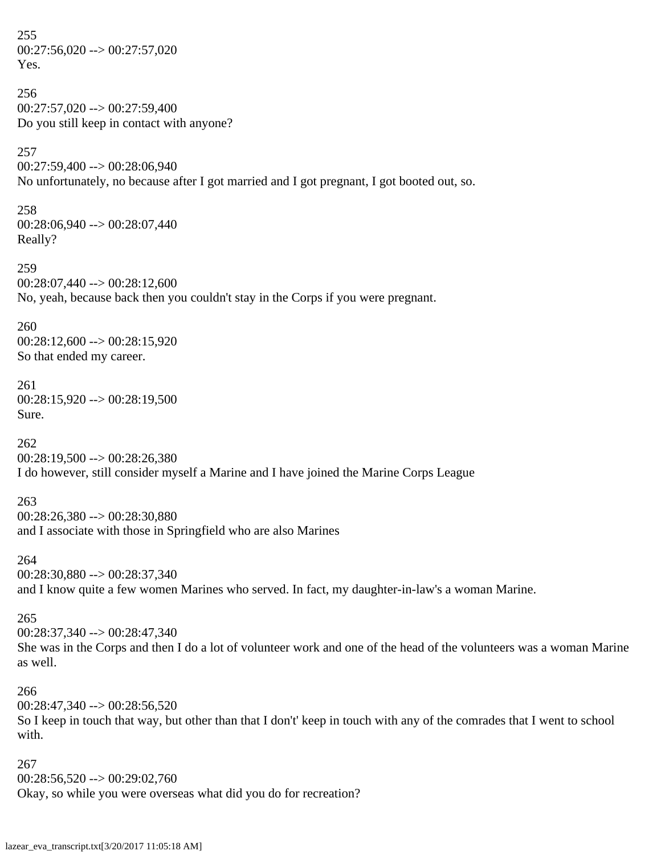255  $00:27:56,020 \rightarrow 00:27:57,020$ Yes. 256 00:27:57,020 --> 00:27:59,400 Do you still keep in contact with anyone? 257 00:27:59,400 --> 00:28:06,940 No unfortunately, no because after I got married and I got pregnant, I got booted out, so. 258 00:28:06,940 --> 00:28:07,440 Really? 259 00:28:07,440 --> 00:28:12,600 No, yeah, because back then you couldn't stay in the Corps if you were pregnant. 260  $00:28:12,600 \rightarrow 00:28:15,920$ So that ended my career. 261  $00:28:15,920 \rightarrow 00:28:19,500$ Sure. 262  $00:28:19,500 \rightarrow 00:28:26,380$ I do however, still consider myself a Marine and I have joined the Marine Corps League 263 00:28:26,380 --> 00:28:30,880 and I associate with those in Springfield who are also Marines 264 00:28:30,880 --> 00:28:37,340 and I know quite a few women Marines who served. In fact, my daughter-in-law's a woman Marine. 265 00:28:37,340 --> 00:28:47,340 She was in the Corps and then I do a lot of volunteer work and one of the head of the volunteers was a woman Marine as well. 266 00:28:47,340 --> 00:28:56,520 So I keep in touch that way, but other than that I don't' keep in touch with any of the comrades that I went to school with. 267  $00:28:56,520 \rightarrow 00:29:02,760$ 

Okay, so while you were overseas what did you do for recreation?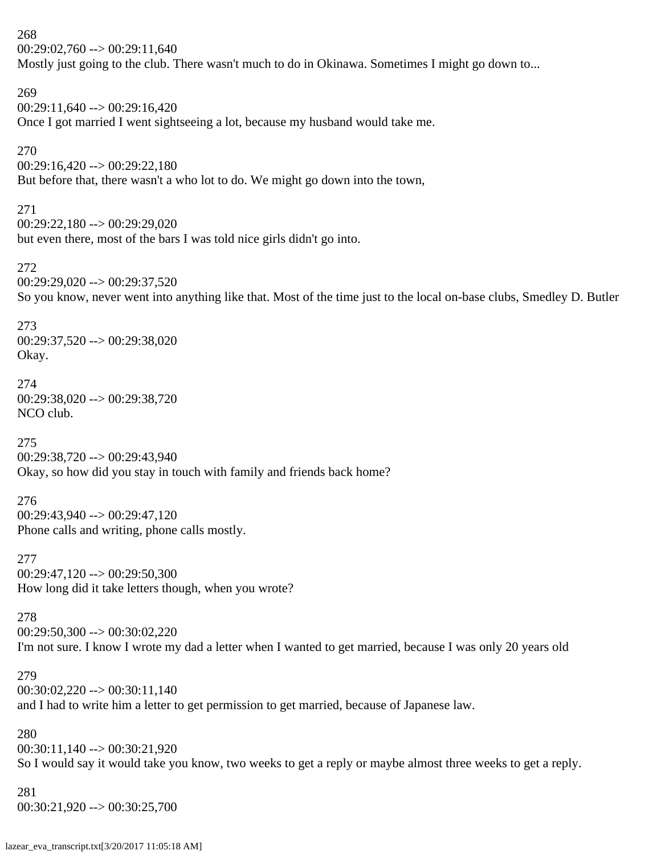268  $00:29:02,760 \rightarrow 00:29:11,640$ Mostly just going to the club. There wasn't much to do in Okinawa. Sometimes I might go down to... 269  $00:29:11,640 \rightarrow 00:29:16,420$ Once I got married I went sightseeing a lot, because my husband would take me. 270  $00:29:16,420 \rightarrow 00:29:22,180$ But before that, there wasn't a who lot to do. We might go down into the town, 271 00:29:22,180 --> 00:29:29,020 but even there, most of the bars I was told nice girls didn't go into. 272 00:29:29,020 --> 00:29:37,520 So you know, never went into anything like that. Most of the time just to the local on-base clubs, Smedley D. Butler 273 00:29:37,520 --> 00:29:38,020 Okay. 274 00:29:38,020 --> 00:29:38,720 NCO club. 275 00:29:38,720 --> 00:29:43,940 Okay, so how did you stay in touch with family and friends back home? 276 00:29:43,940 --> 00:29:47,120 Phone calls and writing, phone calls mostly. 277 00:29:47,120 --> 00:29:50,300 How long did it take letters though, when you wrote? 278  $00:29:50,300 \rightarrow 00:30:02,220$ I'm not sure. I know I wrote my dad a letter when I wanted to get married, because I was only 20 years old 279  $00:30:02,220 \rightarrow 00:30:11,140$ and I had to write him a letter to get permission to get married, because of Japanese law. 280 00:30:11,140 --> 00:30:21,920 So I would say it would take you know, two weeks to get a reply or maybe almost three weeks to get a reply. 281 00:30:21,920 --> 00:30:25,700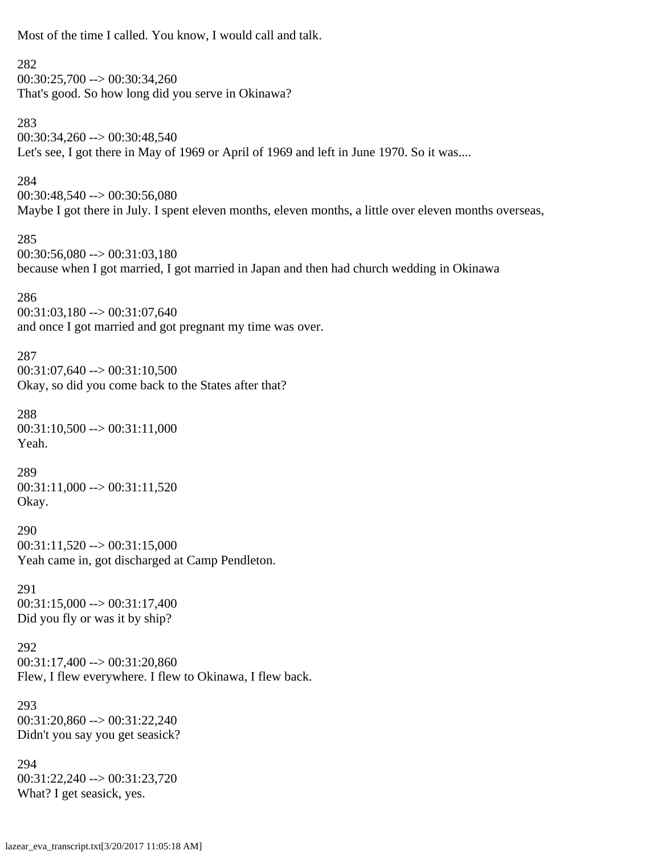Most of the time I called. You know, I would call and talk. 282  $00:30:25,700 \rightarrow 00:30:34,260$ That's good. So how long did you serve in Okinawa? 283 00:30:34,260 --> 00:30:48,540 Let's see, I got there in May of 1969 or April of 1969 and left in June 1970. So it was.... 284 00:30:48,540 --> 00:30:56,080 Maybe I got there in July. I spent eleven months, eleven months, a little over eleven months overseas, 285  $00:30:56,080 \rightarrow 00:31:03,180$ because when I got married, I got married in Japan and then had church wedding in Okinawa 286  $00:31:03,180 \rightarrow 00:31:07,640$ and once I got married and got pregnant my time was over. 287 00:31:07,640 --> 00:31:10,500 Okay, so did you come back to the States after that? 288  $00:31:10,500 \rightarrow 00:31:11,000$ Yeah. 289  $00:31:11,000 \rightarrow 00:31:11,520$ Okay. 290  $00:31:11,520 \rightarrow 00:31:15,000$ Yeah came in, got discharged at Camp Pendleton. 291  $00:31:15,000 \rightarrow 00:31:17,400$ Did you fly or was it by ship? 292  $00:31:17,400 \rightarrow 00:31:20,860$ Flew, I flew everywhere. I flew to Okinawa, I flew back. 293 00:31:20,860 --> 00:31:22,240 Didn't you say you get seasick? 294 00:31:22,240 --> 00:31:23,720 What? I get seasick, yes.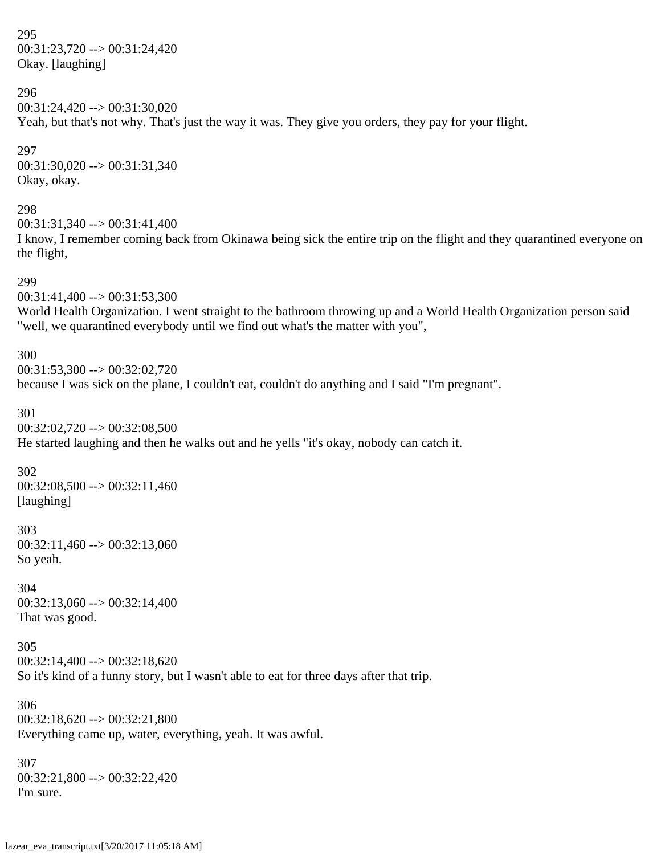295 00:31:23,720 --> 00:31:24,420 Okay. [laughing]

296 00:31:24,420 --> 00:31:30,020 Yeah, but that's not why. That's just the way it was. They give you orders, they pay for your flight.

297 00:31:30,020 --> 00:31:31,340 Okay, okay.

298 00:31:31,340 --> 00:31:41,400 I know, I remember coming back from Okinawa being sick the entire trip on the flight and they quarantined everyone on the flight,

299 00:31:41,400 --> 00:31:53,300 World Health Organization. I went straight to the bathroom throwing up and a World Health Organization person said "well, we quarantined everybody until we find out what's the matter with you",

300  $00:31:53,300 \rightarrow 00:32:02,720$ because I was sick on the plane, I couldn't eat, couldn't do anything and I said "I'm pregnant".

301 00:32:02,720 --> 00:32:08,500 He started laughing and then he walks out and he yells "it's okay, nobody can catch it.

302  $00:32:08,500 \rightarrow 00:32:11,460$ [laughing]

303 00:32:11,460 --> 00:32:13,060 So yeah.

304  $00:32:13,060 \rightarrow 00:32:14,400$ That was good.

305  $00:32:14,400 \rightarrow 00:32:18,620$ So it's kind of a funny story, but I wasn't able to eat for three days after that trip.

306  $00:32:18,620 \rightarrow 00:32:21,800$ Everything came up, water, everything, yeah. It was awful.

307 00:32:21,800 --> 00:32:22,420 I'm sure.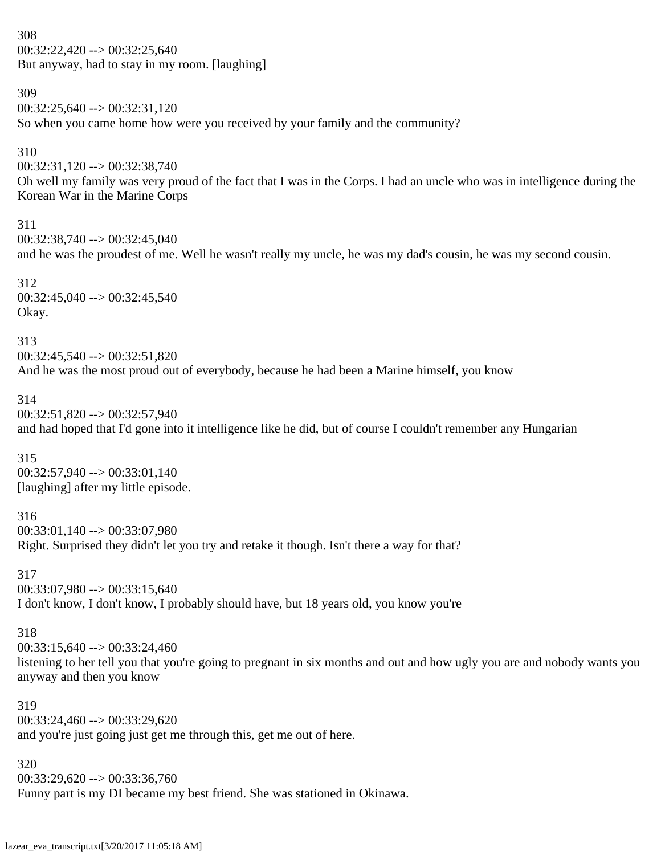308  $00:32:22,420 \rightarrow 00:32:25,640$ But anyway, had to stay in my room. [laughing]

309 00:32:25,640 --> 00:32:31,120 So when you came home how were you received by your family and the community? 310 00:32:31,120 --> 00:32:38,740 Oh well my family was very proud of the fact that I was in the Corps. I had an uncle who was in intelligence during the Korean War in the Marine Corps 311  $00:32:38,740 \rightarrow 00:32:45,040$ and he was the proudest of me. Well he wasn't really my uncle, he was my dad's cousin, he was my second cousin. 312 00:32:45,040 --> 00:32:45,540 Okay. 313 00:32:45,540 --> 00:32:51,820 And he was the most proud out of everybody, because he had been a Marine himself, you know 314 00:32:51,820 --> 00:32:57,940 and had hoped that I'd gone into it intelligence like he did, but of course I couldn't remember any Hungarian 315  $00:32:57,940 \rightarrow 00:33:01,140$ [laughing] after my little episode. 316 00:33:01,140 --> 00:33:07,980 Right. Surprised they didn't let you try and retake it though. Isn't there a way for that? 317  $00:33:07,980 \rightarrow 00:33:15,640$ I don't know, I don't know, I probably should have, but 18 years old, you know you're 318  $00:33:15,640 \rightarrow 00:33:24,460$ listening to her tell you that you're going to pregnant in six months and out and how ugly you are and nobody wants you anyway and then you know 319  $00:33:24.460 \rightarrow 00:33:29.620$ and you're just going just get me through this, get me out of here.

320 00:33:29,620 --> 00:33:36,760 Funny part is my DI became my best friend. She was stationed in Okinawa.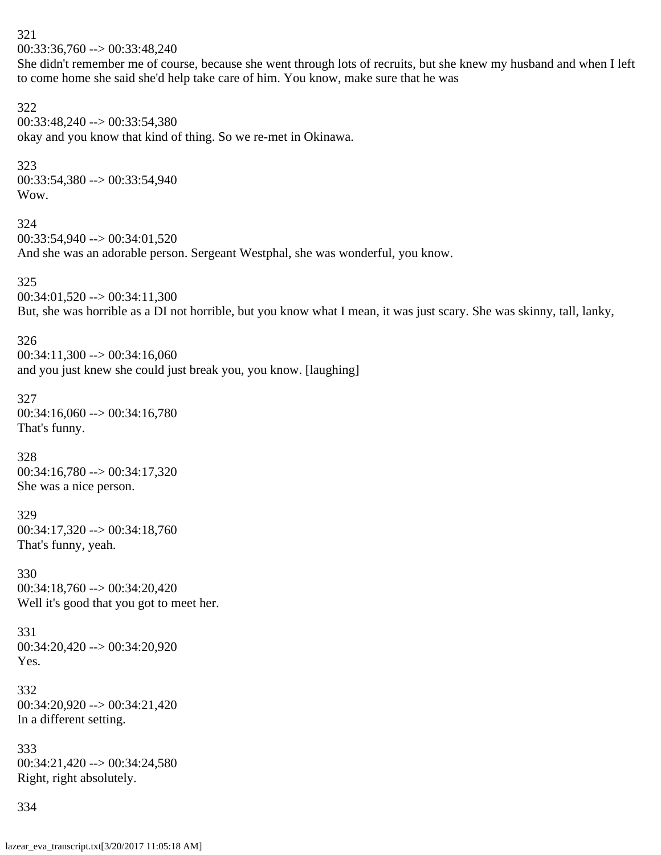321 00:33:36,760 --> 00:33:48,240

She didn't remember me of course, because she went through lots of recruits, but she knew my husband and when I left to come home she said she'd help take care of him. You know, make sure that he was

#### 322

00:33:48,240 --> 00:33:54,380 okay and you know that kind of thing. So we re-met in Okinawa.

### 323

00:33:54,380 --> 00:33:54,940 Wow.

#### 324

00:33:54,940 --> 00:34:01,520 And she was an adorable person. Sergeant Westphal, she was wonderful, you know.

### 325

 $00:34:01,520 \rightarrow 00:34:11,300$ But, she was horrible as a DI not horrible, but you know what I mean, it was just scary. She was skinny, tall, lanky,

### 326

 $00:34:11,300 \rightarrow 00:34:16,060$ and you just knew she could just break you, you know. [laughing]

# 327 00:34:16,060 --> 00:34:16,780 That's funny.

328

 $00:34:16,780 \rightarrow 00:34:17,320$ She was a nice person.

# 329

00:34:17,320 --> 00:34:18,760 That's funny, yeah.

# 330 00:34:18,760 --> 00:34:20,420 Well it's good that you got to meet her.

331 00:34:20,420 --> 00:34:20,920 Yes.

# 332 00:34:20,920 --> 00:34:21,420 In a different setting.

333 00:34:21,420 --> 00:34:24,580 Right, right absolutely.

# 334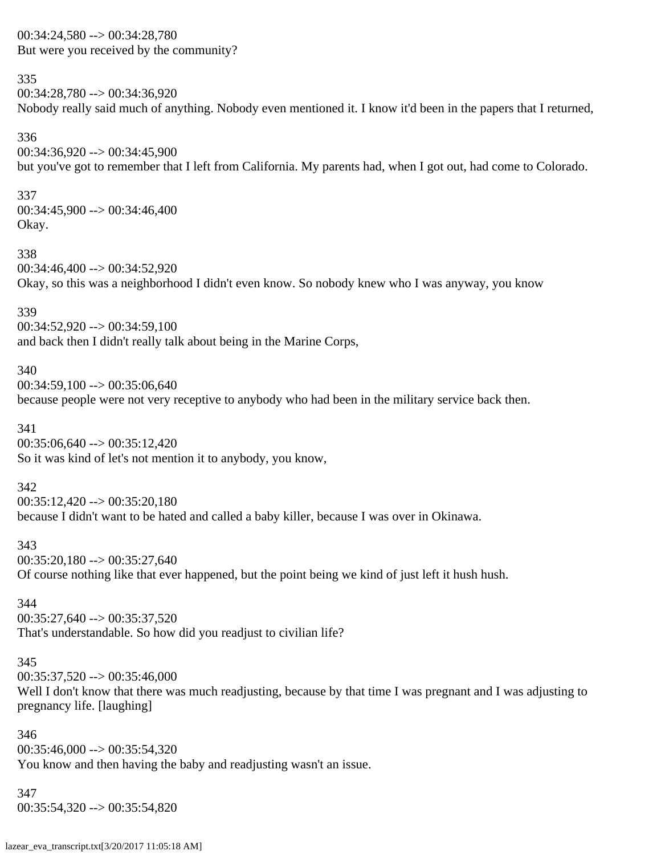00:34:24,580 --> 00:34:28,780 But were you received by the community?

### 335

00:34:28,780 --> 00:34:36,920 Nobody really said much of anything. Nobody even mentioned it. I know it'd been in the papers that I returned,

336 00:34:36,920 --> 00:34:45,900 but you've got to remember that I left from California. My parents had, when I got out, had come to Colorado.

337  $00:34:45,900 \rightarrow 00:34:46,400$ Okay.

338 00:34:46,400 --> 00:34:52,920 Okay, so this was a neighborhood I didn't even know. So nobody knew who I was anyway, you know

### 339

00:34:52,920 --> 00:34:59,100 and back then I didn't really talk about being in the Marine Corps,

### 340

 $00:34:59,100 \rightarrow 00:35:06,640$ because people were not very receptive to anybody who had been in the military service back then.

341

 $00:35:06,640 \rightarrow 00:35:12,420$ So it was kind of let's not mention it to anybody, you know,

### 342

 $00:35:12,420 \rightarrow 00:35:20,180$ 

because I didn't want to be hated and called a baby killer, because I was over in Okinawa.

#### 343

 $00:35:20,180 \rightarrow 00:35:27,640$ 

Of course nothing like that ever happened, but the point being we kind of just left it hush hush.

### 344

00:35:27,640 --> 00:35:37,520 That's understandable. So how did you readjust to civilian life?

### 345

 $00:35:37,520 \rightarrow 00:35:46,000$ Well I don't know that there was much readjusting, because by that time I was pregnant and I was adjusting to pregnancy life. [laughing]

346  $00:35:46,000 \rightarrow 00:35:54,320$ You know and then having the baby and readjusting wasn't an issue.

347 00:35:54,320 --> 00:35:54,820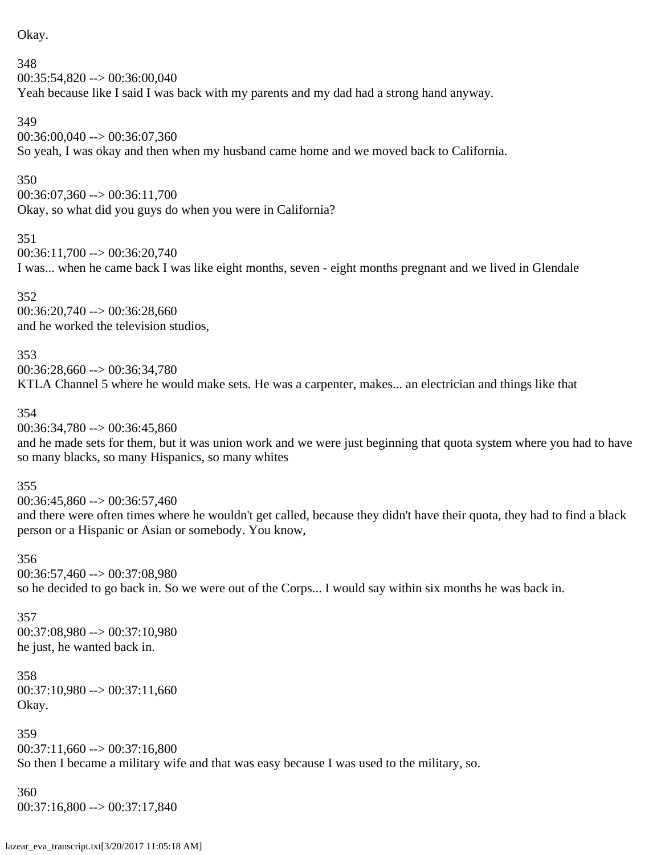Okay.

348  $00:35:54,820 \rightarrow 00:36:00,040$ Yeah because like I said I was back with my parents and my dad had a strong hand anyway.

349

00:36:00,040 --> 00:36:07,360 So yeah, I was okay and then when my husband came home and we moved back to California.

350

00:36:07,360 --> 00:36:11,700 Okay, so what did you guys do when you were in California?

351

 $00:36:11,700 \rightarrow 00:36:20,740$ 

I was... when he came back I was like eight months, seven - eight months pregnant and we lived in Glendale

352 00:36:20,740 --> 00:36:28,660 and he worked the television studios,

353 00:36:28,660 --> 00:36:34,780 KTLA Channel 5 where he would make sets. He was a carpenter, makes... an electrician and things like that

354

00:36:34,780 --> 00:36:45,860

and he made sets for them, but it was union work and we were just beginning that quota system where you had to have so many blacks, so many Hispanics, so many whites

355

 $00:36:45.860 \rightarrow 00:36:57.460$ and there were often times where he wouldn't get called, because they didn't have their quota, they had to find a black person or a Hispanic or Asian or somebody. You know,

356

00:36:57,460 --> 00:37:08,980 so he decided to go back in. So we were out of the Corps... I would say within six months he was back in.

357 00:37:08,980 --> 00:37:10,980 he just, he wanted back in.

358  $00:37:10,980 \rightarrow 00:37:11,660$ Okay.

359 00:37:11,660 --> 00:37:16,800 So then I became a military wife and that was easy because I was used to the military, so.

360 00:37:16,800 --> 00:37:17,840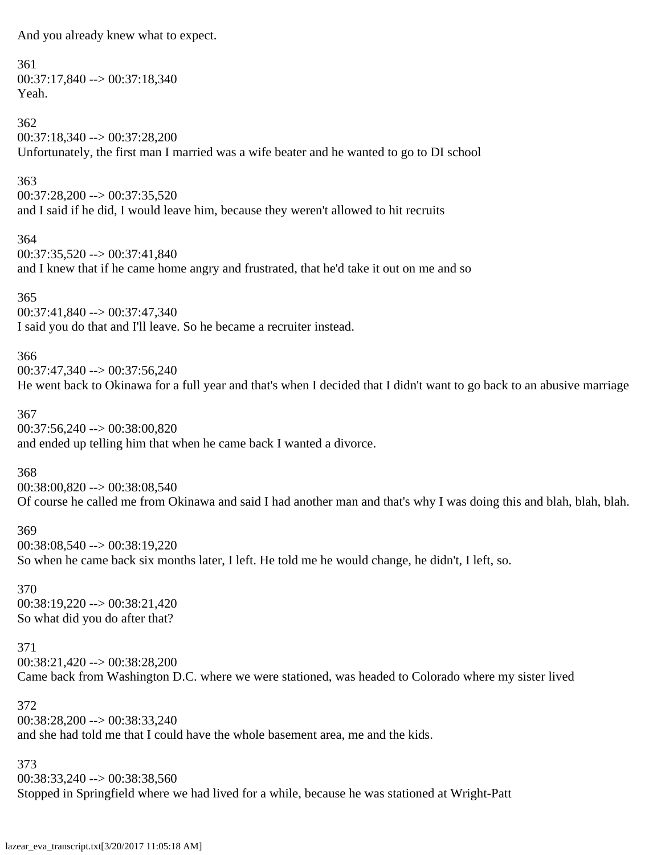And you already knew what to expect.

361 00:37:17,840 --> 00:37:18,340 Yeah. 362 00:37:18,340 --> 00:37:28,200 Unfortunately, the first man I married was a wife beater and he wanted to go to DI school 363 00:37:28,200 --> 00:37:35,520

and I said if he did, I would leave him, because they weren't allowed to hit recruits

364 00:37:35,520 --> 00:37:41,840 and I knew that if he came home angry and frustrated, that he'd take it out on me and so

365 00:37:41,840 --> 00:37:47,340 I said you do that and I'll leave. So he became a recruiter instead.

366 00:37:47,340 --> 00:37:56,240 He went back to Okinawa for a full year and that's when I decided that I didn't want to go back to an abusive marriage

367 00:37:56,240 --> 00:38:00,820 and ended up telling him that when he came back I wanted a divorce.

368 00:38:00,820 --> 00:38:08,540 Of course he called me from Okinawa and said I had another man and that's why I was doing this and blah, blah, blah.

369 00:38:08,540 --> 00:38:19,220 So when he came back six months later, I left. He told me he would change, he didn't, I left, so.

370 00:38:19,220 --> 00:38:21,420 So what did you do after that?

371 00:38:21,420 --> 00:38:28,200 Came back from Washington D.C. where we were stationed, was headed to Colorado where my sister lived

372 00:38:28,200 --> 00:38:33,240 and she had told me that I could have the whole basement area, me and the kids.

373 00:38:33,240 --> 00:38:38,560 Stopped in Springfield where we had lived for a while, because he was stationed at Wright-Patt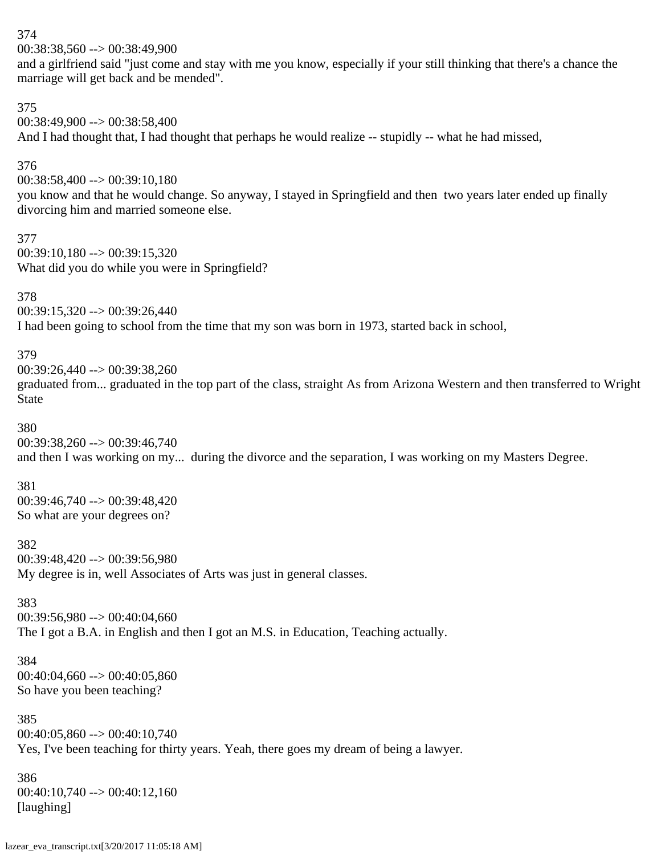00:38:38,560 --> 00:38:49,900

and a girlfriend said "just come and stay with me you know, especially if your still thinking that there's a chance the marriage will get back and be mended".

375

00:38:49,900 --> 00:38:58,400 And I had thought that, I had thought that perhaps he would realize -- stupidly -- what he had missed,

376

00:38:58,400 --> 00:39:10,180

you know and that he would change. So anyway, I stayed in Springfield and then two years later ended up finally divorcing him and married someone else.

377  $00:39:10,180 \rightarrow 00:39:15,320$ What did you do while you were in Springfield?

378 00:39:15,320 --> 00:39:26,440

I had been going to school from the time that my son was born in 1973, started back in school,

379

00:39:26,440 --> 00:39:38,260 graduated from... graduated in the top part of the class, straight As from Arizona Western and then transferred to Wright State

380

00:39:38,260 --> 00:39:46,740 and then I was working on my... during the divorce and the separation, I was working on my Masters Degree.

381 00:39:46,740 --> 00:39:48,420 So what are your degrees on?

382 00:39:48,420 --> 00:39:56,980 My degree is in, well Associates of Arts was just in general classes.

383 00:39:56,980 --> 00:40:04,660 The I got a B.A. in English and then I got an M.S. in Education, Teaching actually.

384 00:40:04,660 --> 00:40:05,860 So have you been teaching?

385  $00:40:05,860 \rightarrow 00:40:10,740$ Yes, I've been teaching for thirty years. Yeah, there goes my dream of being a lawyer.

386  $00:40:10,740 \rightarrow 00:40:12,160$ [laughing]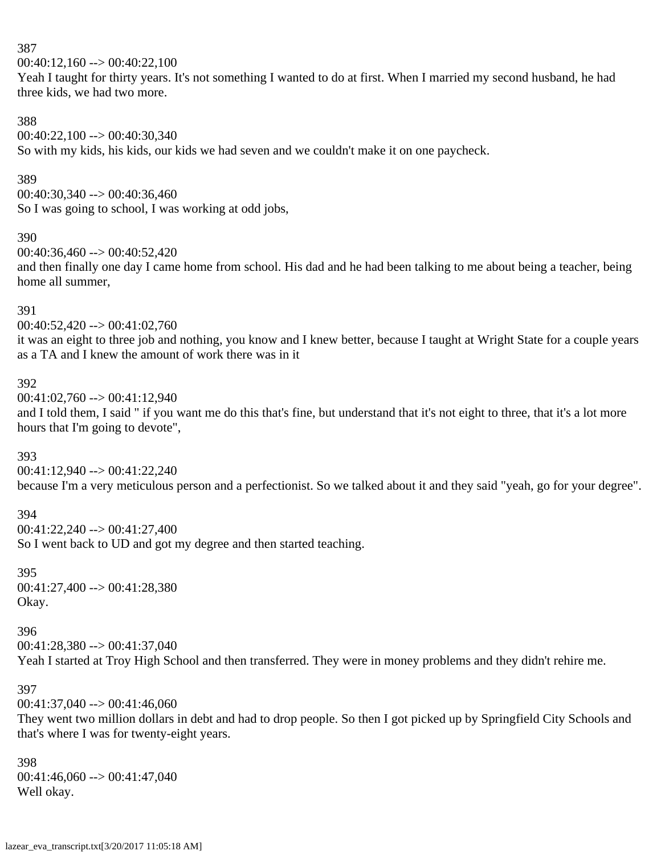$00:40:12,160 \rightarrow 00:40:22,100$ 

Yeah I taught for thirty years. It's not something I wanted to do at first. When I married my second husband, he had three kids, we had two more.

### 388

00:40:22,100 --> 00:40:30,340 So with my kids, his kids, our kids we had seven and we couldn't make it on one paycheck.

### 389

 $00:40:30,340 \rightarrow 00:40:36,460$ So I was going to school, I was working at odd jobs,

### 390

 $00:40:36,460 \rightarrow 00:40:52,420$ 

and then finally one day I came home from school. His dad and he had been talking to me about being a teacher, being home all summer,

### 391

 $00:40:52,420 \rightarrow 00:41:02,760$ 

it was an eight to three job and nothing, you know and I knew better, because I taught at Wright State for a couple years as a TA and I knew the amount of work there was in it

### 392

00:41:02,760 --> 00:41:12,940 and I told them, I said " if you want me do this that's fine, but understand that it's not eight to three, that it's a lot more hours that I'm going to devote",

### 393

00:41:12,940 --> 00:41:22,240 because I'm a very meticulous person and a perfectionist. So we talked about it and they said "yeah, go for your degree".

# 394

00:41:22,240 --> 00:41:27,400 So I went back to UD and got my degree and then started teaching.

395 00:41:27,400 --> 00:41:28,380 Okay.

#### 396

 $00:41:28,380 \rightarrow 00:41:37,040$ 

Yeah I started at Troy High School and then transferred. They were in money problems and they didn't rehire me.

### 397

 $00:41:37,040 \rightarrow 00:41:46,060$ 

They went two million dollars in debt and had to drop people. So then I got picked up by Springfield City Schools and that's where I was for twenty-eight years.

### 398 00:41:46,060 --> 00:41:47,040 Well okay.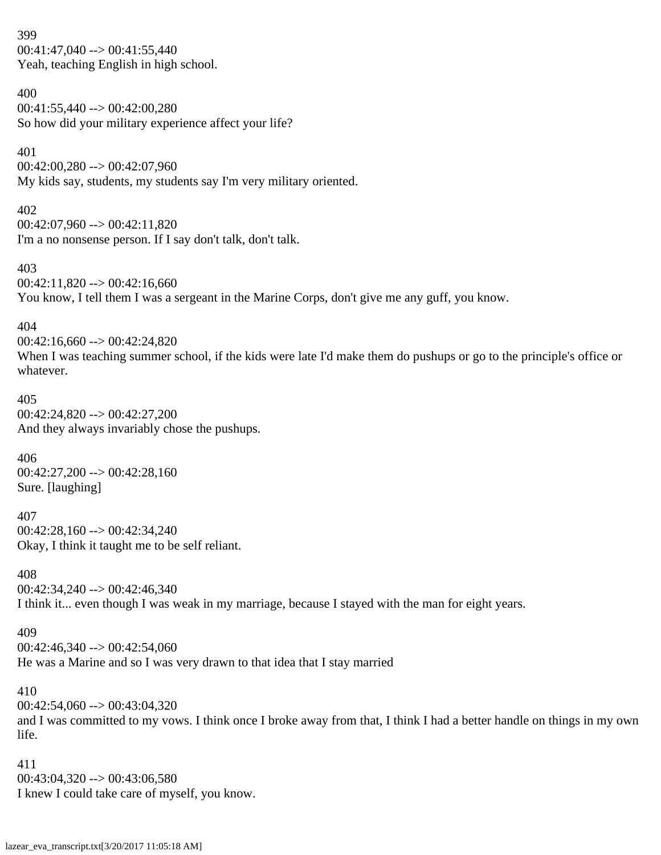399  $00:41:47,040 \rightarrow 00:41:55,440$ Yeah, teaching English in high school.

400

 $00:41:55,440 \rightarrow 00:42:00.280$ So how did your military experience affect your life?

401

00:42:00,280 --> 00:42:07,960 My kids say, students, my students say I'm very military oriented.

402 00:42:07,960 --> 00:42:11,820 I'm a no nonsense person. If I say don't talk, don't talk.

403  $00:42:11,820 \rightarrow 00:42:16,660$ You know, I tell them I was a sergeant in the Marine Corps, don't give me any guff, you know.

404

 $00:42:16,660 \rightarrow 00:42:24,820$ When I was teaching summer school, if the kids were late I'd make them do pushups or go to the principle's office or whatever.

405 00:42:24,820 --> 00:42:27,200 And they always invariably chose the pushups.

406  $00:42:27,200 \rightarrow 00:42:28,160$ Sure. [laughing]

407 00:42:28,160 --> 00:42:34,240 Okay, I think it taught me to be self reliant.

408 00:42:34,240 --> 00:42:46,340 I think it... even though I was weak in my marriage, because I stayed with the man for eight years.

409

 $00:42:46,340 \rightarrow 00:42:54,060$ 

He was a Marine and so I was very drawn to that idea that I stay married

410

 $00:42:54,060 \rightarrow 00:43:04,320$ 

and I was committed to my vows. I think once I broke away from that, I think I had a better handle on things in my own life.

411 00:43:04,320 --> 00:43:06,580 I knew I could take care of myself, you know.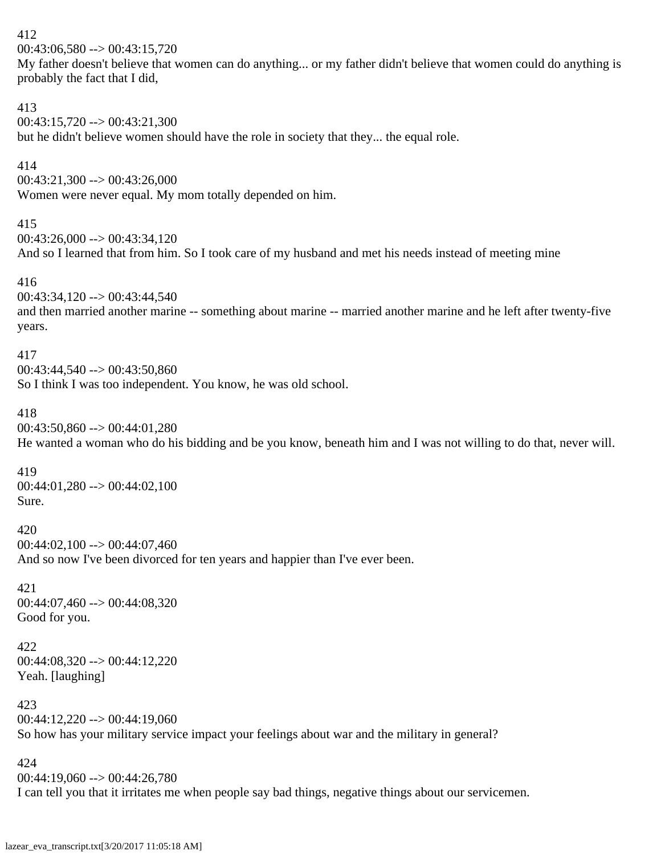```
412
00:43:06,580 \rightarrow 00:43:15,720My father doesn't believe that women can do anything... or my father didn't believe that women could do anything is
probably the fact that I did,
413
00:43:15,720 --> 00:43:21,300
but he didn't believe women should have the role in society that they... the equal role.
414
00:43:21,300 \rightarrow 00:43:26,000Women were never equal. My mom totally depended on him.
415
00:43:26.000 \rightarrow 00:43:34.120And so I learned that from him. So I took care of my husband and met his needs instead of meeting mine
416
00:43:34,120 --> 00:43:44,540
and then married another marine -- something about marine -- married another marine and he left after twenty-five
years.
417
00:43:44.540 \rightarrow 00:43:50.860So I think I was too independent. You know, he was old school.
418
00:43:50,860 --> 00:44:01,280
He wanted a woman who do his bidding and be you know, beneath him and I was not willing to do that, never will.
419
00:44:01,280 --> 00:44:02,100
Sure.
420
00:44:02,100 --> 00:44:07,460
And so now I've been divorced for ten years and happier than I've ever been.
421
00:44:07,460 --> 00:44:08,320
Good for you.
422
00:44:08,320 \rightarrow 00:44:12,220Yeah. [laughing]
```

```
423
00:44:12,220 --> 00:44:19,060
So how has your military service impact your feelings about war and the military in general?
```
00:44:19,060 --> 00:44:26,780 I can tell you that it irritates me when people say bad things, negative things about our servicemen.

424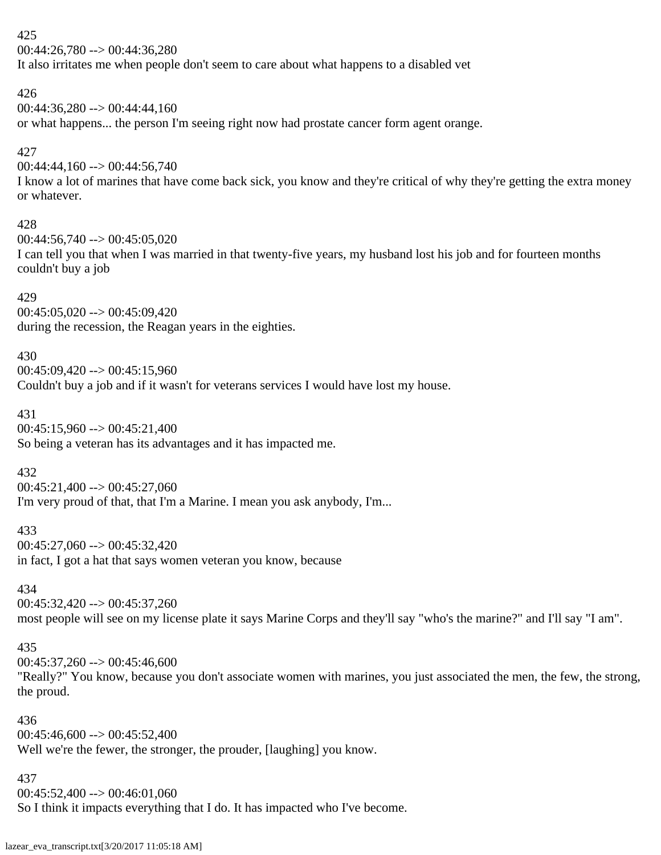00:44:26,780 --> 00:44:36,280

It also irritates me when people don't seem to care about what happens to a disabled vet

# 426

00:44:36,280 --> 00:44:44,160

or what happens... the person I'm seeing right now had prostate cancer form agent orange.

# 427

00:44:44,160 --> 00:44:56,740

I know a lot of marines that have come back sick, you know and they're critical of why they're getting the extra money or whatever.

# 428

 $00:44:56,740 \rightarrow 00:45:05,020$ 

I can tell you that when I was married in that twenty-five years, my husband lost his job and for fourteen months couldn't buy a job

# 429

 $00:45:05,020 \rightarrow 00:45:09,420$ during the recession, the Reagan years in the eighties.

# 430

 $00:45:09,420 \rightarrow 00:45:15,960$ 

Couldn't buy a job and if it wasn't for veterans services I would have lost my house.

# 431

00:45:15,960 --> 00:45:21,400 So being a veteran has its advantages and it has impacted me.

# 432

 $00:45:21,400 \rightarrow 00:45:27,060$ I'm very proud of that, that I'm a Marine. I mean you ask anybody, I'm...

# 433

00:45:27,060 --> 00:45:32,420

in fact, I got a hat that says women veteran you know, because

# 434

 $00:45:32,420 \rightarrow 00:45:37,260$ most people will see on my license plate it says Marine Corps and they'll say "who's the marine?" and I'll say "I am".

# 435

 $00:45:37,260 \rightarrow 00:45:46,600$ 

"Really?" You know, because you don't associate women with marines, you just associated the men, the few, the strong, the proud.

# 436

 $00:45:46,600 \rightarrow 00:45:52,400$ Well we're the fewer, the stronger, the prouder, [laughing] you know.

# 437

 $00:45:52,400 \rightarrow 00:46:01,060$ 

So I think it impacts everything that I do. It has impacted who I've become.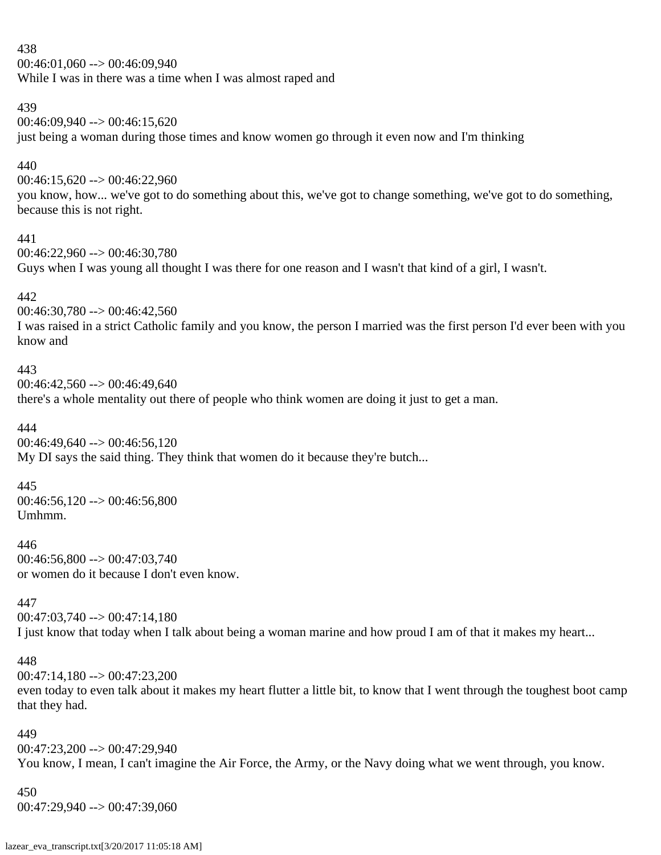$00:46:01,060 \rightarrow 00:46:09,940$ While I was in there was a time when I was almost raped and

### 439

 $00:46:09.940 \rightarrow 00:46:15.620$ 

just being a woman during those times and know women go through it even now and I'm thinking

# 440

00:46:15,620 --> 00:46:22,960

you know, how... we've got to do something about this, we've got to change something, we've got to do something, because this is not right.

### 441

00:46:22,960 --> 00:46:30,780

Guys when I was young all thought I was there for one reason and I wasn't that kind of a girl, I wasn't.

### 442

00:46:30,780 --> 00:46:42,560

I was raised in a strict Catholic family and you know, the person I married was the first person I'd ever been with you know and

### 443

 $00:46:42,560 \rightarrow 00:46:49,640$ there's a whole mentality out there of people who think women are doing it just to get a man.

### 444

 $00:46:49.640 \rightarrow 00:46:56.120$ My DI says the said thing. They think that women do it because they're butch...

### 445

00:46:56,120 --> 00:46:56,800 Umhmm.

### 446

00:46:56,800 --> 00:47:03,740 or women do it because I don't even know.

# 447

 $00:47:03,740 \rightarrow 00:47:14,180$ I just know that today when I talk about being a woman marine and how proud I am of that it makes my heart...

### 448

00:47:14,180 --> 00:47:23,200 even today to even talk about it makes my heart flutter a little bit, to know that I went through the toughest boot camp that they had.

### 449

00:47:23,200 --> 00:47:29,940

You know, I mean, I can't imagine the Air Force, the Army, or the Navy doing what we went through, you know.

### 450

00:47:29,940 --> 00:47:39,060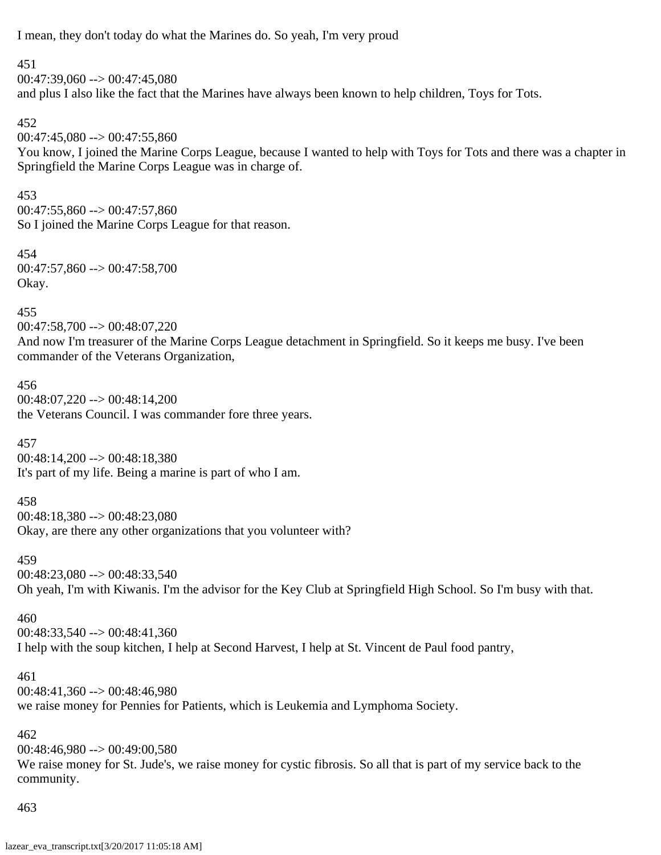I mean, they don't today do what the Marines do. So yeah, I'm very proud

### 451

 $00:47:39,060 \rightarrow 00:47:45,080$ and plus I also like the fact that the Marines have always been known to help children, Toys for Tots.

# 452

 $00:47:45,080 \rightarrow 00:47:55,860$ 

You know, I joined the Marine Corps League, because I wanted to help with Toys for Tots and there was a chapter in Springfield the Marine Corps League was in charge of.

### 453

 $00:47:55,860 \rightarrow 00:47:57,860$ So I joined the Marine Corps League for that reason.

454 00:47:57,860 --> 00:47:58,700 Okay.

# 455

00:47:58,700 --> 00:48:07,220

And now I'm treasurer of the Marine Corps League detachment in Springfield. So it keeps me busy. I've been commander of the Veterans Organization,

### 456 00:48:07,220 --> 00:48:14,200 the Veterans Council. I was commander fore three years.

457 00:48:14,200 --> 00:48:18,380 It's part of my life. Being a marine is part of who I am.

### 458

00:48:18,380 --> 00:48:23,080 Okay, are there any other organizations that you volunteer with?

### 459

 $00:48:23,080 \rightarrow 00:48:33,540$ Oh yeah, I'm with Kiwanis. I'm the advisor for the Key Club at Springfield High School. So I'm busy with that.

# 460

 $00:48:33,540 \rightarrow 00:48:41,360$ I help with the soup kitchen, I help at Second Harvest, I help at St. Vincent de Paul food pantry,

### 461

00:48:41,360 --> 00:48:46,980 we raise money for Pennies for Patients, which is Leukemia and Lymphoma Society.

# 462

 $00:48:46,980 \rightarrow 00:49:00,580$ We raise money for St. Jude's, we raise money for cystic fibrosis. So all that is part of my service back to the community.

# 463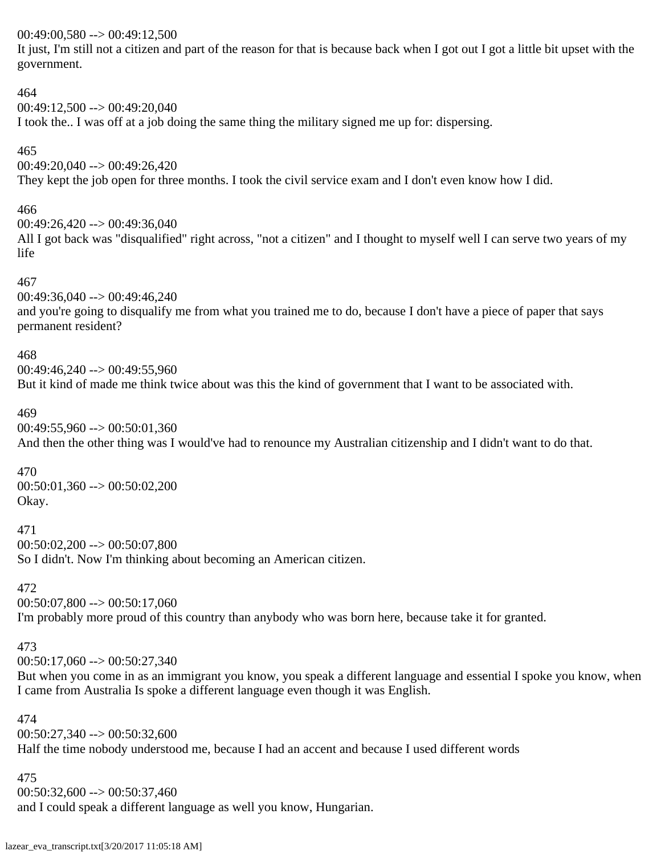### 00:49:00,580 --> 00:49:12,500

It just, I'm still not a citizen and part of the reason for that is because back when I got out I got a little bit upset with the government.

# 464 00:49:12,500 --> 00:49:20,040 I took the.. I was off at a job doing the same thing the military signed me up for: dispersing.

465  $00:49:20,040 \rightarrow 00:49:26,420$ They kept the job open for three months. I took the civil service exam and I don't even know how I did.

# 466

 $00:49:26,420 \rightarrow 00:49:36,040$ All I got back was "disqualified" right across, "not a citizen" and I thought to myself well I can serve two years of my life

### 467

 $00:49:36,040 \rightarrow 00:49:46,240$ and you're going to disqualify me from what you trained me to do, because I don't have a piece of paper that says permanent resident?

### 468

 $00:49:46,240 \rightarrow 00:49:55,960$ But it kind of made me think twice about was this the kind of government that I want to be associated with.

### 469

 $00:49:55,960 \rightarrow 00:50:01,360$ And then the other thing was I would've had to renounce my Australian citizenship and I didn't want to do that.

### 470

00:50:01,360 --> 00:50:02,200 Okay.

471

 $00:50:02,200 \rightarrow 00:50:07,800$ 

So I didn't. Now I'm thinking about becoming an American citizen.

### 472

 $00:50:07,800 \rightarrow 00:50:17,060$ I'm probably more proud of this country than anybody who was born here, because take it for granted.

### 473

 $00:50:17,060 \rightarrow 00:50:27,340$ 

But when you come in as an immigrant you know, you speak a different language and essential I spoke you know, when I came from Australia Is spoke a different language even though it was English.

#### 474

 $00:50:27,340 \rightarrow 00:50:32,600$ Half the time nobody understood me, because I had an accent and because I used different words

#### 475

 $00:50:32,600 \rightarrow 00:50:37,460$ 

and I could speak a different language as well you know, Hungarian.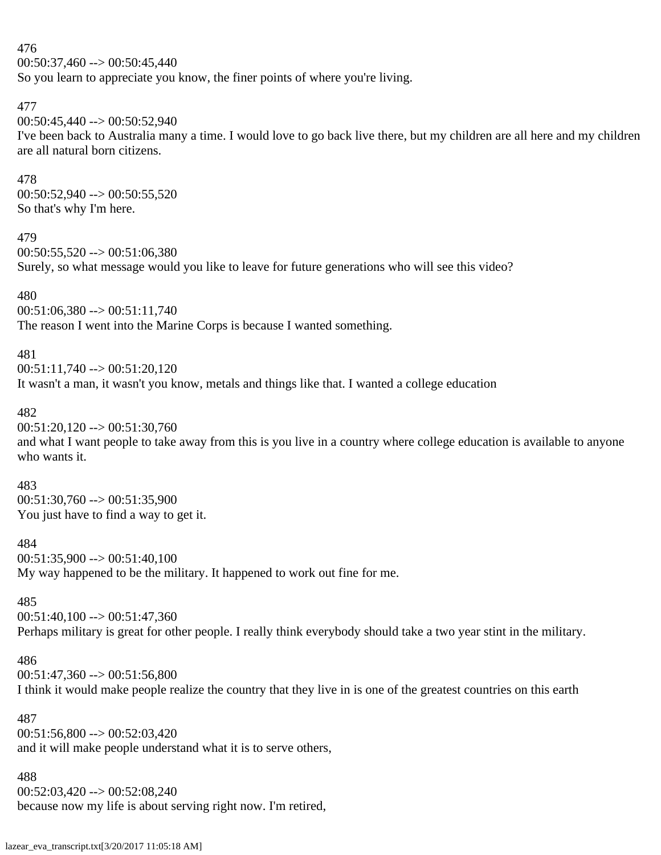### 476  $00:50:37,460 \rightarrow 00:50:45,440$

So you learn to appreciate you know, the finer points of where you're living.

# 477

```
00:50:45,440 --> 00:50:52,940
```
I've been back to Australia many a time. I would love to go back live there, but my children are all here and my children are all natural born citizens.

# 478

00:50:52,940 --> 00:50:55,520 So that's why I'm here.

### 479

 $00:50:55,520 \rightarrow 00:51:06,380$ Surely, so what message would you like to leave for future generations who will see this video?

### 480

 $00:51:06,380 \rightarrow 00:51:11,740$ 

The reason I went into the Marine Corps is because I wanted something.

# 481

 $00:51:11,740 \rightarrow 00:51:20,120$ 

It wasn't a man, it wasn't you know, metals and things like that. I wanted a college education

# 482

 $00:51:20,120 \rightarrow 00:51:30,760$ 

and what I want people to take away from this is you live in a country where college education is available to anyone who wants it.

# 483

 $00:51:30,760 \rightarrow 00:51:35,900$ You just have to find a way to get it.

# 484

 $00:51:35,900 \rightarrow 00:51:40,100$ My way happened to be the military. It happened to work out fine for me.

# 485

00:51:40,100 --> 00:51:47,360

Perhaps military is great for other people. I really think everybody should take a two year stint in the military.

# 486

 $00:51:47,360 \rightarrow 00:51:56,800$ 

I think it would make people realize the country that they live in is one of the greatest countries on this earth

### 487

 $00:51:56,800 \rightarrow 00:52:03,420$ and it will make people understand what it is to serve others,

### 488

 $00:52:03,420 \rightarrow 00:52:08,240$ 

because now my life is about serving right now. I'm retired,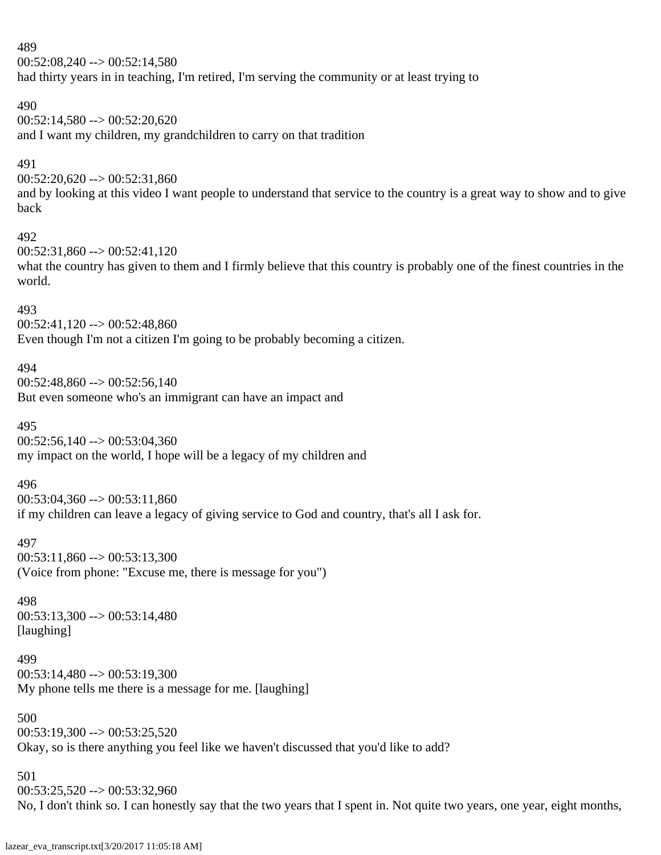$00:52:08,240 \rightarrow 00:52:14,580$ had thirty years in in teaching, I'm retired, I'm serving the community or at least trying to

### 490

 $00:52:14,580 \rightarrow 00:52:20,620$ and I want my children, my grandchildren to carry on that tradition

### 491

00:52:20,620 --> 00:52:31,860

and by looking at this video I want people to understand that service to the country is a great way to show and to give back

#### 492

 $00:52:31,860 \rightarrow 00:52:41,120$ 

what the country has given to them and I firmly believe that this country is probably one of the finest countries in the world.

#### 493

 $00:52:41,120 \rightarrow 00:52:48,860$ 

Even though I'm not a citizen I'm going to be probably becoming a citizen.

### 494

 $00:52:48,860 \rightarrow 00:52:56,140$ But even someone who's an immigrant can have an impact and

### 495

 $00:52:56.140 \rightarrow 00:53:04.360$ my impact on the world, I hope will be a legacy of my children and

#### 496

 $00:53:04,360 \rightarrow 00:53:11,860$ if my children can leave a legacy of giving service to God and country, that's all I ask for.

#### 497

 $00:53:11,860 \rightarrow 00:53:13,300$ (Voice from phone: "Excuse me, there is message for you")

### 498

00:53:13,300 --> 00:53:14,480 [laughing]

# 499

 $00:53:14,480 \rightarrow 00:53:19,300$ My phone tells me there is a message for me. [laughing]

### 500

 $00:53:19,300 \rightarrow 00:53:25,520$ Okay, so is there anything you feel like we haven't discussed that you'd like to add?

### 501

00:53:25,520 --> 00:53:32,960 No, I don't think so. I can honestly say that the two years that I spent in. Not quite two years, one year, eight months,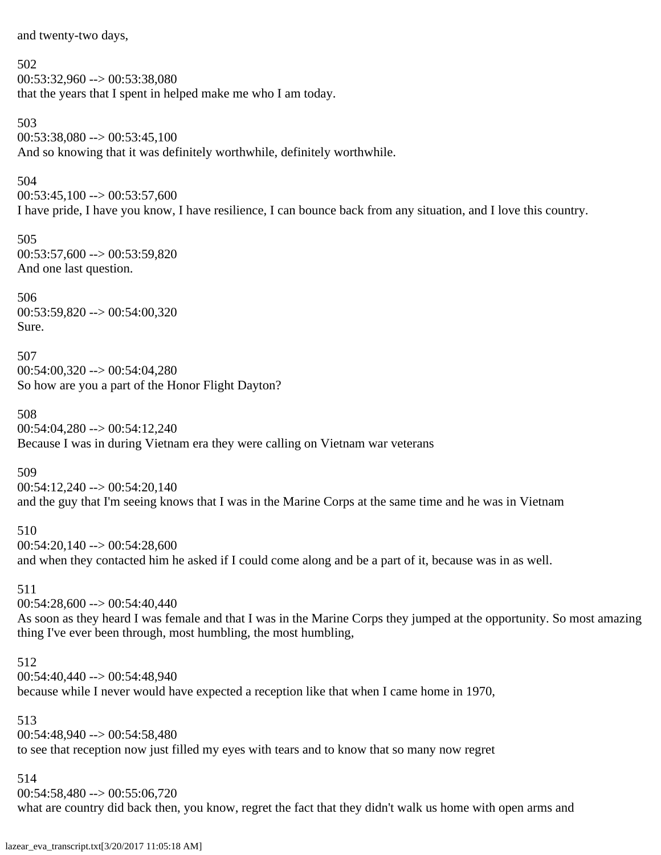and twenty-two days,

502

 $00:53:32.960 \rightarrow 00:53:38.080$ that the years that I spent in helped make me who I am today.

503  $00:53:38,080 \rightarrow 00:53:45,100$ And so knowing that it was definitely worthwhile, definitely worthwhile.

504

 $00:53:45,100 \rightarrow 00:53:57,600$ 

I have pride, I have you know, I have resilience, I can bounce back from any situation, and I love this country.

505 00:53:57,600 --> 00:53:59,820 And one last question.

506 00:53:59,820 --> 00:54:00,320 Sure.

507  $00:54:00,320 \rightarrow 00:54:04,280$ So how are you a part of the Honor Flight Dayton?

508 00:54:04,280 --> 00:54:12,240 Because I was in during Vietnam era they were calling on Vietnam war veterans

509

 $00:54:12,240 \rightarrow 00:54:20,140$ and the guy that I'm seeing knows that I was in the Marine Corps at the same time and he was in Vietnam

510 00:54:20,140 --> 00:54:28,600 and when they contacted him he asked if I could come along and be a part of it, because was in as well.

511

 $00:54:28,600 \rightarrow 00:54:40,440$ As soon as they heard I was female and that I was in the Marine Corps they jumped at the opportunity. So most amazing thing I've ever been through, most humbling, the most humbling,

512

00:54:40,440 --> 00:54:48,940

because while I never would have expected a reception like that when I came home in 1970,

513

00:54:48,940 --> 00:54:58,480 to see that reception now just filled my eyes with tears and to know that so many now regret

514

 $00:54:58,480 \rightarrow 00:55:06,720$ 

what are country did back then, you know, regret the fact that they didn't walk us home with open arms and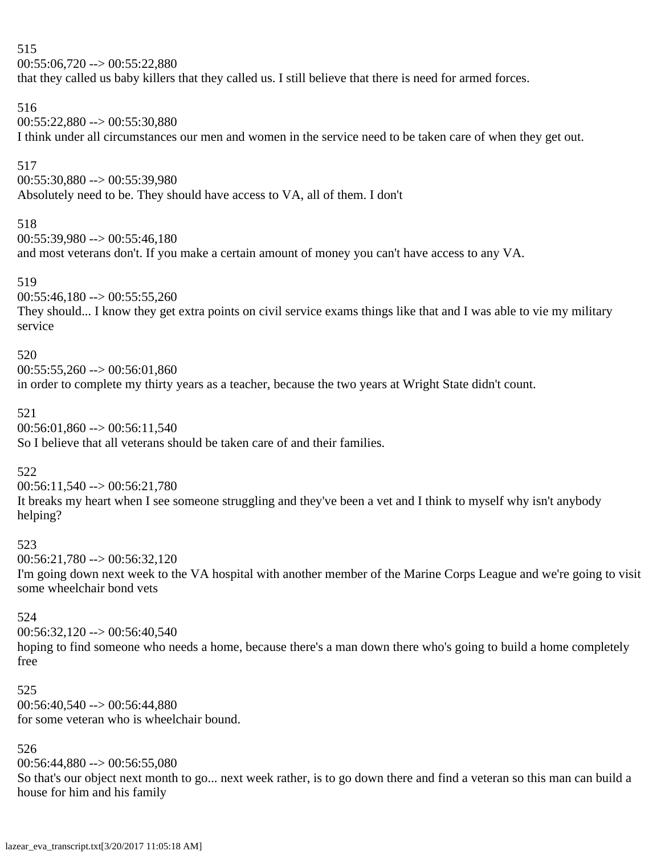$00:55:06,720 \rightarrow 00:55:22,880$ 

that they called us baby killers that they called us. I still believe that there is need for armed forces.

### 516

00:55:22,880 --> 00:55:30,880 I think under all circumstances our men and women in the service need to be taken care of when they get out.

# 517

00:55:30,880 --> 00:55:39,980 Absolutely need to be. They should have access to VA, all of them. I don't

### 518

 $00:55:39.980 \rightarrow 00:55:46.180$ and most veterans don't. If you make a certain amount of money you can't have access to any VA.

### 519

 $00:55:46,180 \rightarrow 00:55:55,260$ They should... I know they get extra points on civil service exams things like that and I was able to vie my military service

### 520

 $00:55:55.260 \rightarrow 00:56:01.860$ in order to complete my thirty years as a teacher, because the two years at Wright State didn't count.

### 521

 $00:56:01,860 \rightarrow 00:56:11,540$ So I believe that all veterans should be taken care of and their families.

### 522

 $00:56:11,540 \rightarrow 00:56:21,780$ It breaks my heart when I see someone struggling and they've been a vet and I think to myself why isn't anybody helping?

### 523

 $00:56:21.780 \rightarrow 00:56:32.120$ 

I'm going down next week to the VA hospital with another member of the Marine Corps League and we're going to visit some wheelchair bond vets

### 524

 $00:56:32,120 \rightarrow 00:56:40,540$ hoping to find someone who needs a home, because there's a man down there who's going to build a home completely free

# 525

 $00:56:40,540 \rightarrow 00:56:44,880$ for some veteran who is wheelchair bound.

# 526

 $00:56:44,880 \rightarrow 00:56:55,080$ 

So that's our object next month to go... next week rather, is to go down there and find a veteran so this man can build a house for him and his family